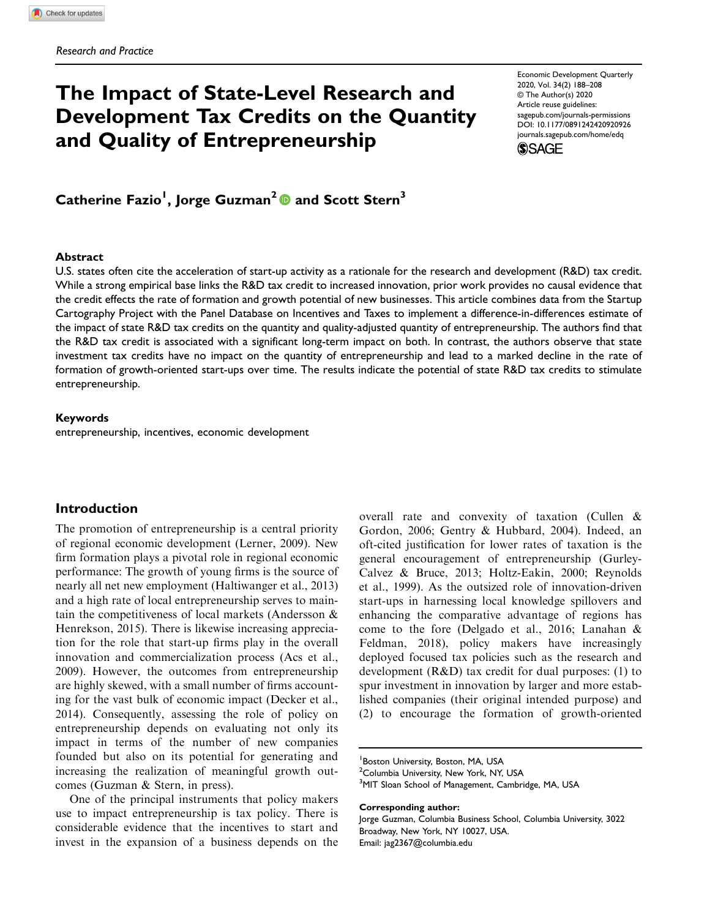# The Impact of State-Level Research and Development Tax Credits on the Quantity and Quality of Entrepreneurship

Economic Development Quarterly 2020, Vol. 34(2) 188–208 © The Author(s) 2020 Article reuse guidelines: [sagepub.com/journals-permissions](https://us.sagepub.com/en-us/journals-permissions) DOI: 10.1177/0891242420920926 [journals.sagepub.com/home/edq](https://journals.sagepub.com/home/edq) **SSAGE** 

Catherine Fazio<sup>1</sup>, Jorge Guzman<sup>2</sup>  $\textcolor{blue} \bullet$  and Scott Stern<sup>3</sup>

### Abstract

U.S. states often cite the acceleration of start-up activity as a rationale for the research and development (R&D) tax credit. While a strong empirical base links the R&D tax credit to increased innovation, prior work provides no causal evidence that the credit effects the rate of formation and growth potential of new businesses. This article combines data from the Startup Cartography Project with the Panel Database on Incentives and Taxes to implement a difference-in-differences estimate of the impact of state R&D tax credits on the quantity and quality-adjusted quantity of entrepreneurship. The authors find that the R&D tax credit is associated with a significant long-term impact on both. In contrast, the authors observe that state investment tax credits have no impact on the quantity of entrepreneurship and lead to a marked decline in the rate of formation of growth-oriented start-ups over time. The results indicate the potential of state R&D tax credits to stimulate entrepreneurship.

#### Keywords

entrepreneurship, incentives, economic development

## Introduction

The promotion of entrepreneurship is a central priority of regional economic development (Lerner, 2009). New firm formation plays a pivotal role in regional economic performance: The growth of young firms is the source of nearly all net new employment (Haltiwanger et al., 2013) and a high rate of local entrepreneurship serves to maintain the competitiveness of local markets (Andersson & Henrekson, 2015). There is likewise increasing appreciation for the role that start-up firms play in the overall innovation and commercialization process (Acs et al., 2009). However, the outcomes from entrepreneurship are highly skewed, with a small number of firms accounting for the vast bulk of economic impact (Decker et al., 2014). Consequently, assessing the role of policy on entrepreneurship depends on evaluating not only its impact in terms of the number of new companies founded but also on its potential for generating and increasing the realization of meaningful growth outcomes (Guzman & Stern, in press).

One of the principal instruments that policy makers use to impact entrepreneurship is tax policy. There is considerable evidence that the incentives to start and invest in the expansion of a business depends on the overall rate and convexity of taxation (Cullen & Gordon, 2006; Gentry & Hubbard, 2004). Indeed, an oft-cited justification for lower rates of taxation is the general encouragement of entrepreneurship (Gurley-Calvez & Bruce, 2013; Holtz-Eakin, 2000; Reynolds et al., 1999). As the outsized role of innovation-driven start-ups in harnessing local knowledge spillovers and enhancing the comparative advantage of regions has come to the fore (Delgado et al., 2016; Lanahan & Feldman, 2018), policy makers have increasingly deployed focused tax policies such as the research and development (R&D) tax credit for dual purposes: (1) to spur investment in innovation by larger and more established companies (their original intended purpose) and (2) to encourage the formation of growth-oriented

Corresponding author:

<sup>1</sup> Boston University, Boston, MA, USA

<sup>&</sup>lt;sup>2</sup> Columbia University, New York, NY, USA

<sup>&</sup>lt;sup>3</sup>MIT Sloan School of Management, Cambridge, MA, USA

Jorge Guzman, Columbia Business School, Columbia University, 3022 Broadway, New York, NY 10027, USA. Email: jag2367@columbia.edu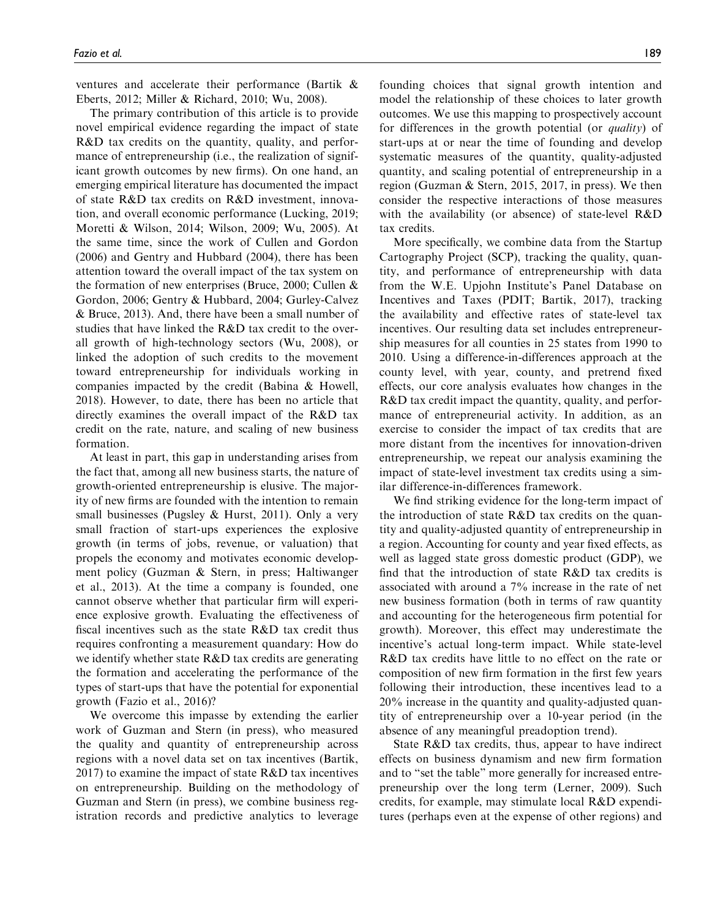ventures and accelerate their performance (Bartik & Eberts, 2012; Miller & Richard, 2010; Wu, 2008).

The primary contribution of this article is to provide novel empirical evidence regarding the impact of state R&D tax credits on the quantity, quality, and performance of entrepreneurship (i.e., the realization of significant growth outcomes by new firms). On one hand, an emerging empirical literature has documented the impact of state R&D tax credits on R&D investment, innovation, and overall economic performance (Lucking, 2019; Moretti & Wilson, 2014; Wilson, 2009; Wu, 2005). At the same time, since the work of Cullen and Gordon (2006) and Gentry and Hubbard (2004), there has been attention toward the overall impact of the tax system on the formation of new enterprises (Bruce, 2000; Cullen & Gordon, 2006; Gentry & Hubbard, 2004; Gurley-Calvez & Bruce, 2013). And, there have been a small number of studies that have linked the R&D tax credit to the overall growth of high-technology sectors (Wu, 2008), or linked the adoption of such credits to the movement toward entrepreneurship for individuals working in companies impacted by the credit (Babina & Howell, 2018). However, to date, there has been no article that directly examines the overall impact of the R&D tax credit on the rate, nature, and scaling of new business formation.

At least in part, this gap in understanding arises from the fact that, among all new business starts, the nature of growth-oriented entrepreneurship is elusive. The majority of new firms are founded with the intention to remain small businesses (Pugsley  $&$  Hurst, 2011). Only a very small fraction of start-ups experiences the explosive growth (in terms of jobs, revenue, or valuation) that propels the economy and motivates economic development policy (Guzman & Stern, in press; Haltiwanger et al., 2013). At the time a company is founded, one cannot observe whether that particular firm will experience explosive growth. Evaluating the effectiveness of fiscal incentives such as the state R&D tax credit thus requires confronting a measurement quandary: How do we identify whether state R&D tax credits are generating the formation and accelerating the performance of the types of start-ups that have the potential for exponential growth (Fazio et al., 2016)?

We overcome this impasse by extending the earlier work of Guzman and Stern (in press), who measured the quality and quantity of entrepreneurship across regions with a novel data set on tax incentives (Bartik, 2017) to examine the impact of state  $R&D$  tax incentives on entrepreneurship. Building on the methodology of Guzman and Stern (in press), we combine business registration records and predictive analytics to leverage

founding choices that signal growth intention and model the relationship of these choices to later growth outcomes. We use this mapping to prospectively account for differences in the growth potential (or quality) of start-ups at or near the time of founding and develop systematic measures of the quantity, quality-adjusted quantity, and scaling potential of entrepreneurship in a region (Guzman & Stern, 2015, 2017, in press). We then consider the respective interactions of those measures with the availability (or absence) of state-level R&D tax credits.

More specifically, we combine data from the Startup Cartography Project (SCP), tracking the quality, quantity, and performance of entrepreneurship with data from the W.E. Upjohn Institute's Panel Database on Incentives and Taxes (PDIT; Bartik, 2017), tracking the availability and effective rates of state-level tax incentives. Our resulting data set includes entrepreneurship measures for all counties in 25 states from 1990 to 2010. Using a difference-in-differences approach at the county level, with year, county, and pretrend fixed effects, our core analysis evaluates how changes in the R&D tax credit impact the quantity, quality, and performance of entrepreneurial activity. In addition, as an exercise to consider the impact of tax credits that are more distant from the incentives for innovation-driven entrepreneurship, we repeat our analysis examining the impact of state-level investment tax credits using a similar difference-in-differences framework.

We find striking evidence for the long-term impact of the introduction of state R&D tax credits on the quantity and quality-adjusted quantity of entrepreneurship in a region. Accounting for county and year fixed effects, as well as lagged state gross domestic product (GDP), we find that the introduction of state R&D tax credits is associated with around a 7% increase in the rate of net new business formation (both in terms of raw quantity and accounting for the heterogeneous firm potential for growth). Moreover, this effect may underestimate the incentive's actual long-term impact. While state-level R&D tax credits have little to no effect on the rate or composition of new firm formation in the first few years following their introduction, these incentives lead to a 20% increase in the quantity and quality-adjusted quantity of entrepreneurship over a 10-year period (in the absence of any meaningful preadoption trend).

State R&D tax credits, thus, appear to have indirect effects on business dynamism and new firm formation and to "set the table" more generally for increased entrepreneurship over the long term (Lerner, 2009). Such credits, for example, may stimulate local R&D expenditures (perhaps even at the expense of other regions) and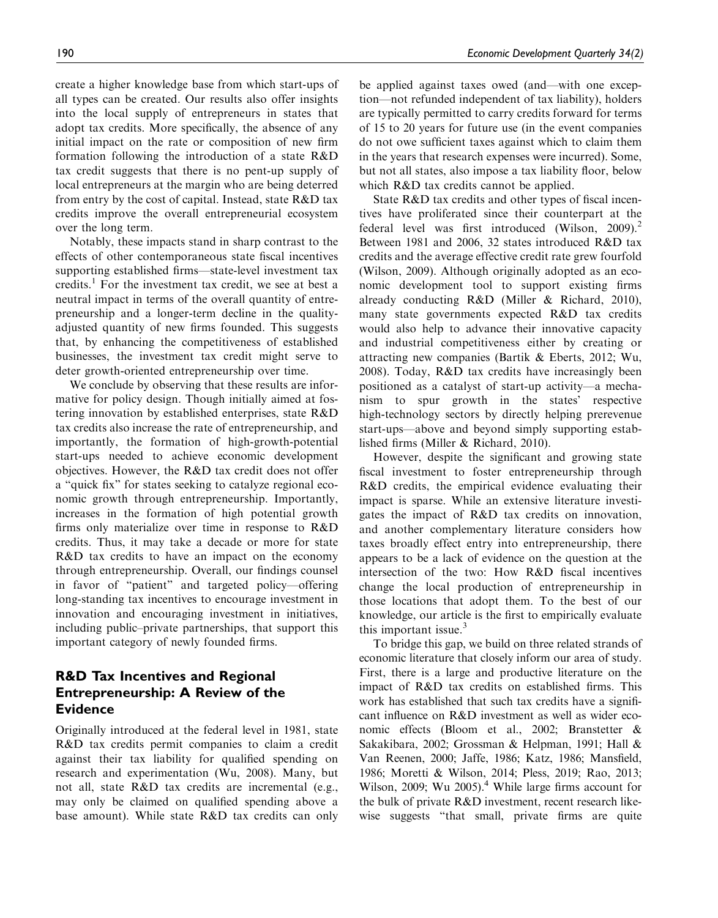create a higher knowledge base from which start-ups of all types can be created. Our results also offer insights into the local supply of entrepreneurs in states that adopt tax credits. More specifically, the absence of any initial impact on the rate or composition of new firm formation following the introduction of a state R&D tax credit suggests that there is no pent-up supply of local entrepreneurs at the margin who are being deterred from entry by the cost of capital. Instead, state R&D tax credits improve the overall entrepreneurial ecosystem over the long term.

Notably, these impacts stand in sharp contrast to the effects of other contemporaneous state fiscal incentives supporting established firms—state-level investment tax credits.<sup>1</sup> For the investment tax credit, we see at best a neutral impact in terms of the overall quantity of entrepreneurship and a longer-term decline in the qualityadjusted quantity of new firms founded. This suggests that, by enhancing the competitiveness of established businesses, the investment tax credit might serve to deter growth-oriented entrepreneurship over time.

We conclude by observing that these results are informative for policy design. Though initially aimed at fostering innovation by established enterprises, state R&D tax credits also increase the rate of entrepreneurship, and importantly, the formation of high-growth-potential start-ups needed to achieve economic development objectives. However, the R&D tax credit does not offer a "quick fix" for states seeking to catalyze regional economic growth through entrepreneurship. Importantly, increases in the formation of high potential growth firms only materialize over time in response to R&D credits. Thus, it may take a decade or more for state R&D tax credits to have an impact on the economy through entrepreneurship. Overall, our findings counsel in favor of "patient" and targeted policy—offering long-standing tax incentives to encourage investment in innovation and encouraging investment in initiatives, including public–private partnerships, that support this important category of newly founded firms.

# R&D Tax Incentives and Regional Entrepreneurship: A Review of the Evidence

Originally introduced at the federal level in 1981, state R&D tax credits permit companies to claim a credit against their tax liability for qualified spending on research and experimentation (Wu, 2008). Many, but not all, state R&D tax credits are incremental (e.g., may only be claimed on qualified spending above a base amount). While state R&D tax credits can only be applied against taxes owed (and—with one exception—not refunded independent of tax liability), holders are typically permitted to carry credits forward for terms of 15 to 20 years for future use (in the event companies do not owe sufficient taxes against which to claim them in the years that research expenses were incurred). Some, but not all states, also impose a tax liability floor, below which R&D tax credits cannot be applied.

State R&D tax credits and other types of fiscal incentives have proliferated since their counterpart at the federal level was first introduced (Wilson, 2009).<sup>2</sup> Between 1981 and 2006, 32 states introduced R&D tax credits and the average effective credit rate grew fourfold (Wilson, 2009). Although originally adopted as an economic development tool to support existing firms already conducting R&D (Miller & Richard, 2010), many state governments expected R&D tax credits would also help to advance their innovative capacity and industrial competitiveness either by creating or attracting new companies (Bartik & Eberts, 2012; Wu, 2008). Today, R&D tax credits have increasingly been positioned as a catalyst of start-up activity—a mechanism to spur growth in the states' respective high-technology sectors by directly helping prerevenue start-ups—above and beyond simply supporting established firms (Miller & Richard, 2010).

However, despite the significant and growing state fiscal investment to foster entrepreneurship through R&D credits, the empirical evidence evaluating their impact is sparse. While an extensive literature investigates the impact of R&D tax credits on innovation, and another complementary literature considers how taxes broadly effect entry into entrepreneurship, there appears to be a lack of evidence on the question at the intersection of the two: How R&D fiscal incentives change the local production of entrepreneurship in those locations that adopt them. To the best of our knowledge, our article is the first to empirically evaluate this important issue. $3$ 

To bridge this gap, we build on three related strands of economic literature that closely inform our area of study. First, there is a large and productive literature on the impact of R&D tax credits on established firms. This work has established that such tax credits have a significant influence on R&D investment as well as wider economic effects (Bloom et al., 2002; Branstetter & Sakakibara, 2002; Grossman & Helpman, 1991; Hall & Van Reenen, 2000; Jaffe, 1986; Katz, 1986; Mansfield, 1986; Moretti & Wilson, 2014; Pless, 2019; Rao, 2013; Wilson, 2009; Wu 2005). $4$  While large firms account for the bulk of private R&D investment, recent research likewise suggests "that small, private firms are quite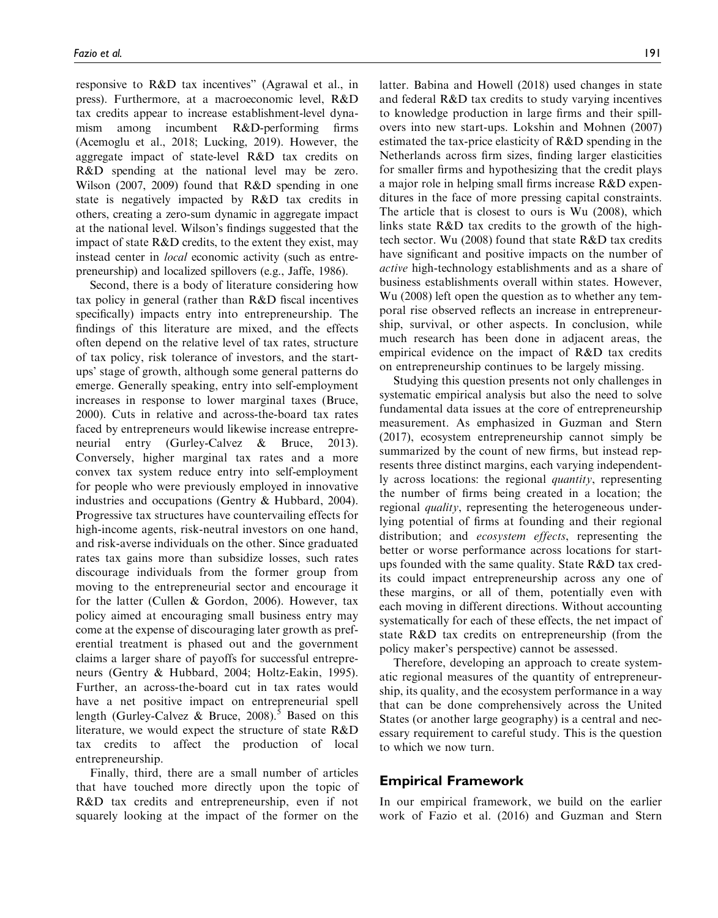responsive to R&D tax incentives" (Agrawal et al., in press). Furthermore, at a macroeconomic level, R&D tax credits appear to increase establishment-level dynamism among incumbent R&D-performing firms (Acemoglu et al., 2018; Lucking, 2019). However, the aggregate impact of state-level R&D tax credits on R&D spending at the national level may be zero. Wilson (2007, 2009) found that R&D spending in one state is negatively impacted by R&D tax credits in others, creating a zero-sum dynamic in aggregate impact at the national level. Wilson's findings suggested that the impact of state R&D credits, to the extent they exist, may instead center in *local* economic activity (such as entrepreneurship) and localized spillovers (e.g., Jaffe, 1986).

Second, there is a body of literature considering how tax policy in general (rather than R&D fiscal incentives specifically) impacts entry into entrepreneurship. The findings of this literature are mixed, and the effects often depend on the relative level of tax rates, structure of tax policy, risk tolerance of investors, and the startups' stage of growth, although some general patterns do emerge. Generally speaking, entry into self-employment increases in response to lower marginal taxes (Bruce, 2000). Cuts in relative and across-the-board tax rates faced by entrepreneurs would likewise increase entrepreneurial entry (Gurley-Calvez & Bruce, 2013). Conversely, higher marginal tax rates and a more convex tax system reduce entry into self-employment for people who were previously employed in innovative industries and occupations (Gentry & Hubbard, 2004). Progressive tax structures have countervailing effects for high-income agents, risk-neutral investors on one hand, and risk-averse individuals on the other. Since graduated rates tax gains more than subsidize losses, such rates discourage individuals from the former group from moving to the entrepreneurial sector and encourage it for the latter (Cullen & Gordon, 2006). However, tax policy aimed at encouraging small business entry may come at the expense of discouraging later growth as preferential treatment is phased out and the government claims a larger share of payoffs for successful entrepreneurs (Gentry & Hubbard, 2004; Holtz-Eakin, 1995). Further, an across-the-board cut in tax rates would have a net positive impact on entrepreneurial spell length (Gurley-Calvez  $\&$  Bruce, 2008).<sup>5</sup> Based on this literature, we would expect the structure of state R&D tax credits to affect the production of local entrepreneurship.

Finally, third, there are a small number of articles that have touched more directly upon the topic of R&D tax credits and entrepreneurship, even if not squarely looking at the impact of the former on the

latter. Babina and Howell (2018) used changes in state and federal R&D tax credits to study varying incentives to knowledge production in large firms and their spillovers into new start-ups. Lokshin and Mohnen (2007) estimated the tax-price elasticity of R&D spending in the Netherlands across firm sizes, finding larger elasticities for smaller firms and hypothesizing that the credit plays a major role in helping small firms increase R&D expenditures in the face of more pressing capital constraints. The article that is closest to ours is Wu (2008), which links state R&D tax credits to the growth of the hightech sector. Wu (2008) found that state R&D tax credits have significant and positive impacts on the number of active high-technology establishments and as a share of business establishments overall within states. However, Wu (2008) left open the question as to whether any temporal rise observed reflects an increase in entrepreneurship, survival, or other aspects. In conclusion, while much research has been done in adjacent areas, the empirical evidence on the impact of R&D tax credits on entrepreneurship continues to be largely missing.

Studying this question presents not only challenges in systematic empirical analysis but also the need to solve fundamental data issues at the core of entrepreneurship measurement. As emphasized in Guzman and Stern (2017), ecosystem entrepreneurship cannot simply be summarized by the count of new firms, but instead represents three distinct margins, each varying independently across locations: the regional quantity, representing the number of firms being created in a location; the regional *quality*, representing the heterogeneous underlying potential of firms at founding and their regional distribution; and *ecosystem effects*, representing the better or worse performance across locations for startups founded with the same quality. State R&D tax credits could impact entrepreneurship across any one of these margins, or all of them, potentially even with each moving in different directions. Without accounting systematically for each of these effects, the net impact of state R&D tax credits on entrepreneurship (from the policy maker's perspective) cannot be assessed.

Therefore, developing an approach to create systematic regional measures of the quantity of entrepreneurship, its quality, and the ecosystem performance in a way that can be done comprehensively across the United States (or another large geography) is a central and necessary requirement to careful study. This is the question to which we now turn.

## Empirical Framework

In our empirical framework, we build on the earlier work of Fazio et al. (2016) and Guzman and Stern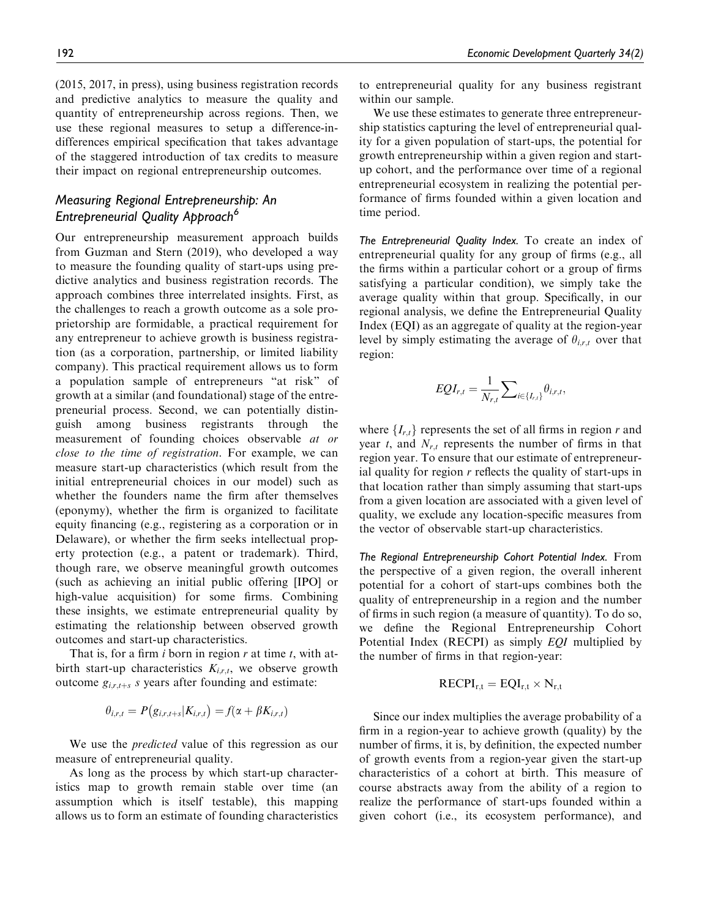(2015, 2017, in press), using business registration records and predictive analytics to measure the quality and quantity of entrepreneurship across regions. Then, we use these regional measures to setup a difference-indifferences empirical specification that takes advantage of the staggered introduction of tax credits to measure their impact on regional entrepreneurship outcomes.

# Measuring Regional Entrepreneurship: An Entrepreneurial Quality Approach<sup>6</sup>

Our entrepreneurship measurement approach builds from Guzman and Stern (2019), who developed a way to measure the founding quality of start-ups using predictive analytics and business registration records. The approach combines three interrelated insights. First, as the challenges to reach a growth outcome as a sole proprietorship are formidable, a practical requirement for any entrepreneur to achieve growth is business registration (as a corporation, partnership, or limited liability company). This practical requirement allows us to form a population sample of entrepreneurs "at risk" of growth at a similar (and foundational) stage of the entrepreneurial process. Second, we can potentially distinguish among business registrants through the measurement of founding choices observable at or close to the time of registration. For example, we can measure start-up characteristics (which result from the initial entrepreneurial choices in our model) such as whether the founders name the firm after themselves (eponymy), whether the firm is organized to facilitate equity financing (e.g., registering as a corporation or in Delaware), or whether the firm seeks intellectual property protection (e.g., a patent or trademark). Third, though rare, we observe meaningful growth outcomes (such as achieving an initial public offering [IPO] or high-value acquisition) for some firms. Combining these insights, we estimate entrepreneurial quality by estimating the relationship between observed growth outcomes and start-up characteristics.

That is, for a firm i born in region r at time t, with atbirth start-up characteristics  $K_{i,r,t}$ , we observe growth outcome  $g_{i,r,t+s}$  s years after founding and estimate:

$$
\theta_{i,r,t}=P(g_{i,r,t+s}|K_{i,r,t})=f(\alpha+\beta K_{i,r,t})
$$

We use the *predicted* value of this regression as our measure of entrepreneurial quality.

As long as the process by which start-up characteristics map to growth remain stable over time (an assumption which is itself testable), this mapping allows us to form an estimate of founding characteristics

to entrepreneurial quality for any business registrant within our sample.

We use these estimates to generate three entrepreneurship statistics capturing the level of entrepreneurial quality for a given population of start-ups, the potential for growth entrepreneurship within a given region and startup cohort, and the performance over time of a regional entrepreneurial ecosystem in realizing the potential performance of firms founded within a given location and time period.

The Entrepreneurial Quality Index. To create an index of entrepreneurial quality for any group of firms (e.g., all the firms within a particular cohort or a group of firms satisfying a particular condition), we simply take the average quality within that group. Specifically, in our regional analysis, we define the Entrepreneurial Quality Index (EQI) as an aggregate of quality at the region-year level by simply estimating the average of  $\theta_{i,r,t}$  over that region:

$$
EQI_{r,t} = \frac{1}{N_{r,t}} \sum_{i \in \{I_{r,t}\}} \theta_{i,r,t},
$$

where  ${I_{r,t}}$  represents the set of all firms in region r and year  $t$ , and  $N_{r,t}$  represents the number of firms in that region year. To ensure that our estimate of entrepreneurial quality for region  $r$  reflects the quality of start-ups in that location rather than simply assuming that start-ups from a given location are associated with a given level of quality, we exclude any location-specific measures from the vector of observable start-up characteristics.

The Regional Entrepreneurship Cohort Potential Index. From the perspective of a given region, the overall inherent potential for a cohort of start-ups combines both the quality of entrepreneurship in a region and the number of firms in such region (a measure of quantity). To do so, we define the Regional Entrepreneurship Cohort Potential Index (RECPI) as simply EQI multiplied by the number of firms in that region-year:

$$
RECPI_{r,t} = EQI_{r,t} \times N_{r,t}
$$

Since our index multiplies the average probability of a firm in a region-year to achieve growth (quality) by the number of firms, it is, by definition, the expected number of growth events from a region-year given the start-up characteristics of a cohort at birth. This measure of course abstracts away from the ability of a region to realize the performance of start-ups founded within a given cohort (i.e., its ecosystem performance), and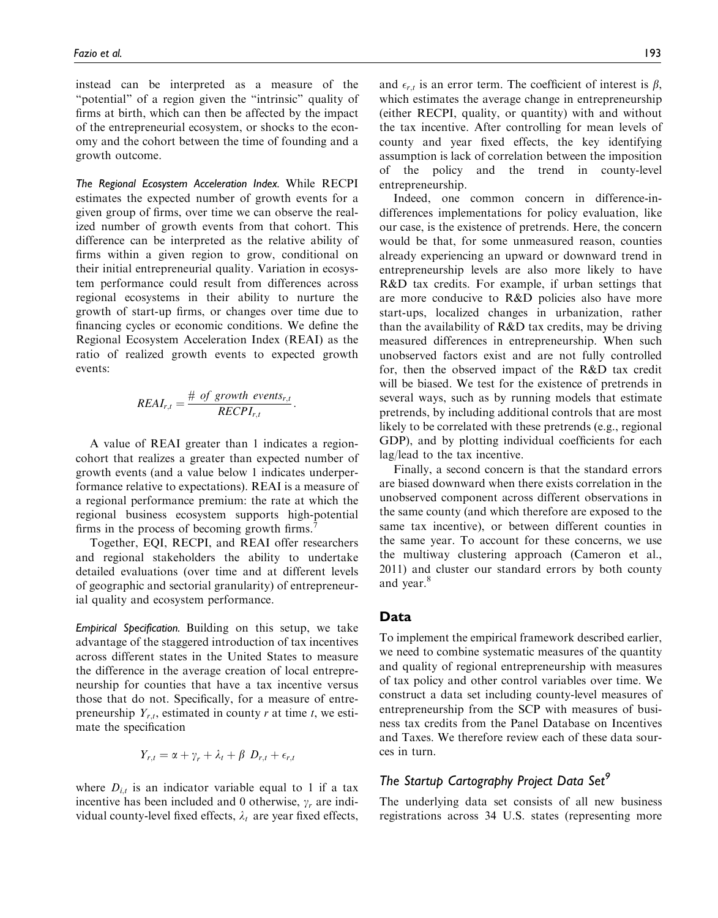instead can be interpreted as a measure of the "potential" of a region given the "intrinsic" quality of firms at birth, which can then be affected by the impact of the entrepreneurial ecosystem, or shocks to the economy and the cohort between the time of founding and a growth outcome.

The Regional Ecosystem Acceleration Index. While RECPI estimates the expected number of growth events for a given group of firms, over time we can observe the realized number of growth events from that cohort. This difference can be interpreted as the relative ability of firms within a given region to grow, conditional on their initial entrepreneurial quality. Variation in ecosystem performance could result from differences across regional ecosystems in their ability to nurture the growth of start-up firms, or changes over time due to financing cycles or economic conditions. We define the Regional Ecosystem Acceleration Index (REAI) as the ratio of realized growth events to expected growth events:

$$
REAI_{r,t} = \frac{\# \ of \ growth \ events_{r,t}}{RECPI_{r,t}}.
$$

A value of REAI greater than 1 indicates a regioncohort that realizes a greater than expected number of growth events (and a value below 1 indicates underperformance relative to expectations). REAI is a measure of a regional performance premium: the rate at which the regional business ecosystem supports high-potential firms in the process of becoming growth firms.<sup>7</sup>

Together, EQI, RECPI, and REAI offer researchers and regional stakeholders the ability to undertake detailed evaluations (over time and at different levels of geographic and sectorial granularity) of entrepreneurial quality and ecosystem performance.

Empirical Specification. Building on this setup, we take advantage of the staggered introduction of tax incentives across different states in the United States to measure the difference in the average creation of local entrepreneurship for counties that have a tax incentive versus those that do not. Specifically, for a measure of entrepreneurship  $Y_{r,t}$ , estimated in county r at time t, we estimate the specification

$$
Y_{r,t} = \alpha + \gamma_r + \lambda_t + \beta \ D_{r,t} + \epsilon_{r,t}
$$

where  $D_{i,t}$  is an indicator variable equal to 1 if a tax incentive has been included and 0 otherwise,  $\gamma_r$  are individual county-level fixed effects,  $\lambda_t$  are year fixed effects,

and  $\epsilon_{r,t}$  is an error term. The coefficient of interest is  $\beta$ , which estimates the average change in entrepreneurship (either RECPI, quality, or quantity) with and without the tax incentive. After controlling for mean levels of county and year fixed effects, the key identifying assumption is lack of correlation between the imposition of the policy and the trend in county-level entrepreneurship.

Indeed, one common concern in difference-indifferences implementations for policy evaluation, like our case, is the existence of pretrends. Here, the concern would be that, for some unmeasured reason, counties already experiencing an upward or downward trend in entrepreneurship levels are also more likely to have R&D tax credits. For example, if urban settings that are more conducive to R&D policies also have more start-ups, localized changes in urbanization, rather than the availability of R&D tax credits, may be driving measured differences in entrepreneurship. When such unobserved factors exist and are not fully controlled for, then the observed impact of the R&D tax credit will be biased. We test for the existence of pretrends in several ways, such as by running models that estimate pretrends, by including additional controls that are most likely to be correlated with these pretrends (e.g., regional GDP), and by plotting individual coefficients for each lag/lead to the tax incentive.

Finally, a second concern is that the standard errors are biased downward when there exists correlation in the unobserved component across different observations in the same county (and which therefore are exposed to the same tax incentive), or between different counties in the same year. To account for these concerns, we use the multiway clustering approach (Cameron et al., 2011) and cluster our standard errors by both county and year.<sup>8</sup>

## Data

To implement the empirical framework described earlier, we need to combine systematic measures of the quantity and quality of regional entrepreneurship with measures of tax policy and other control variables over time. We construct a data set including county-level measures of entrepreneurship from the SCP with measures of business tax credits from the Panel Database on Incentives and Taxes. We therefore review each of these data sources in turn.

# The Startup Cartography Project Data Set<sup>9</sup>

The underlying data set consists of all new business registrations across 34 U.S. states (representing more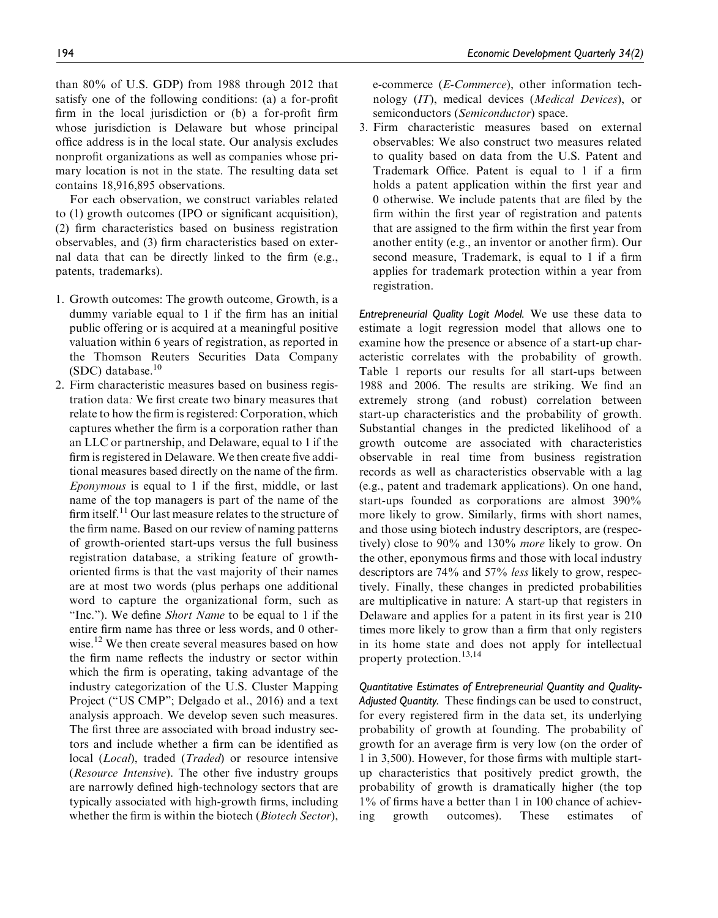than 80% of U.S. GDP) from 1988 through 2012 that satisfy one of the following conditions: (a) a for-profit firm in the local jurisdiction or (b) a for-profit firm whose jurisdiction is Delaware but whose principal office address is in the local state. Our analysis excludes nonprofit organizations as well as companies whose primary location is not in the state. The resulting data set contains 18,916,895 observations.

For each observation, we construct variables related to (1) growth outcomes (IPO or significant acquisition), (2) firm characteristics based on business registration observables, and (3) firm characteristics based on external data that can be directly linked to the firm (e.g., patents, trademarks).

- 1. Growth outcomes: The growth outcome, Growth, is a dummy variable equal to 1 if the firm has an initial public offering or is acquired at a meaningful positive valuation within 6 years of registration, as reported in the Thomson Reuters Securities Data Company  $(SDC)$  database.<sup>10</sup>
- 2. Firm characteristic measures based on business registration data: We first create two binary measures that relate to how the firm is registered: Corporation, which captures whether the firm is a corporation rather than an LLC or partnership, and Delaware, equal to 1 if the firm is registered in Delaware. We then create five additional measures based directly on the name of the firm. Eponymous is equal to 1 if the first, middle, or last name of the top managers is part of the name of the firm itself.<sup>11</sup> Our last measure relates to the structure of the firm name. Based on our review of naming patterns of growth-oriented start-ups versus the full business registration database, a striking feature of growthoriented firms is that the vast majority of their names are at most two words (plus perhaps one additional word to capture the organizational form, such as "Inc."). We define Short Name to be equal to 1 if the entire firm name has three or less words, and 0 otherwise.<sup>12</sup> We then create several measures based on how the firm name reflects the industry or sector within which the firm is operating, taking advantage of the industry categorization of the U.S. Cluster Mapping Project ("US CMP"; Delgado et al., 2016) and a text analysis approach. We develop seven such measures. The first three are associated with broad industry sectors and include whether a firm can be identified as local (*Local*), traded (*Traded*) or resource intensive (Resource Intensive). The other five industry groups are narrowly defined high-technology sectors that are typically associated with high-growth firms, including whether the firm is within the biotech (Biotech Sector),

e-commerce (E-Commerce), other information technology (IT), medical devices (Medical Devices), or semiconductors (Semiconductor) space.

3. Firm characteristic measures based on external observables: We also construct two measures related to quality based on data from the U.S. Patent and Trademark Office. Patent is equal to 1 if a firm holds a patent application within the first year and 0 otherwise. We include patents that are filed by the firm within the first year of registration and patents that are assigned to the firm within the first year from another entity (e.g., an inventor or another firm). Our second measure, Trademark, is equal to 1 if a firm applies for trademark protection within a year from registration.

Entrepreneurial Quality Logit Model. We use these data to estimate a logit regression model that allows one to examine how the presence or absence of a start-up characteristic correlates with the probability of growth. Table 1 reports our results for all start-ups between 1988 and 2006. The results are striking. We find an extremely strong (and robust) correlation between start-up characteristics and the probability of growth. Substantial changes in the predicted likelihood of a growth outcome are associated with characteristics observable in real time from business registration records as well as characteristics observable with a lag (e.g., patent and trademark applications). On one hand, start-ups founded as corporations are almost 390% more likely to grow. Similarly, firms with short names, and those using biotech industry descriptors, are (respectively) close to 90% and 130% more likely to grow. On the other, eponymous firms and those with local industry descriptors are 74% and 57% less likely to grow, respectively. Finally, these changes in predicted probabilities are multiplicative in nature: A start-up that registers in Delaware and applies for a patent in its first year is 210 times more likely to grow than a firm that only registers in its home state and does not apply for intellectual property protection.<sup>13,14</sup>

Quantitative Estimates of Entrepreneurial Quantity and Quality-Adjusted Quantity. These findings can be used to construct, for every registered firm in the data set, its underlying probability of growth at founding. The probability of growth for an average firm is very low (on the order of 1 in 3,500). However, for those firms with multiple startup characteristics that positively predict growth, the probability of growth is dramatically higher (the top 1% of firms have a better than 1 in 100 chance of achieving growth outcomes). These estimates of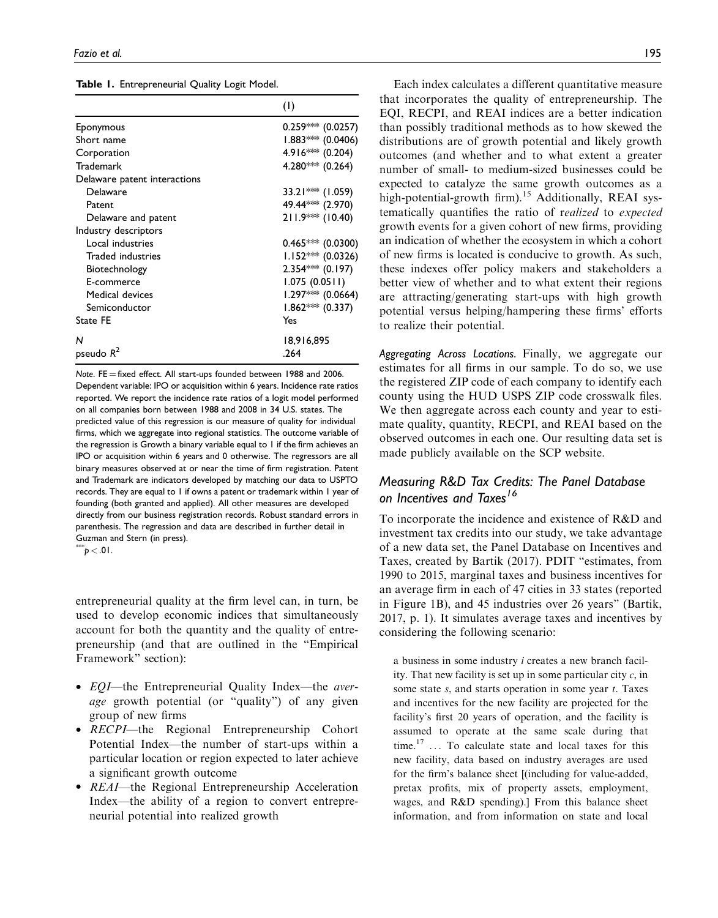|  |  | Table 1. Entrepreneurial Quality Logit Model. |  |  |  |
|--|--|-----------------------------------------------|--|--|--|
|--|--|-----------------------------------------------|--|--|--|

|                              | (1)                 |
|------------------------------|---------------------|
| Eponymous                    | $0.259***(0.0257)$  |
| Short name                   | $1.883***$ (0.0406) |
| Corporation                  | 4.916*** (0.204)    |
| <b>Trademark</b>             | 4.280*** (0.264)    |
| Delaware patent interactions |                     |
| Delaware                     | 33.21*** (1.059)    |
| Patent                       | 49.44*** (2.970)    |
| Delaware and patent          | 211.9*** (10.40)    |
| Industry descriptors         |                     |
| Local industries             | $0.465***(0.0300)$  |
| Traded industries            | $1.152***$ (0.0326) |
| Biotechnology                | $2.354***$ (0.197)  |
| E-commerce                   | 1.075(0.0511)       |
| Medical devices              | $1.297*** (0.0664)$ |
| Semiconductor                | $1.862***$ (0.337)  |
| State FE                     | Yes                 |
| N                            | 18,916,895          |
| pseudo $R^2$                 | .264                |

Note. FE  $=$  fixed effect. All start-ups founded between 1988 and 2006. Dependent variable: IPO or acquisition within 6 years. Incidence rate ratios reported. We report the incidence rate ratios of a logit model performed on all companies born between 1988 and 2008 in 34 U.S. states. The predicted value of this regression is our measure of quality for individual firms, which we aggregate into regional statistics. The outcome variable of the regression is Growth a binary variable equal to 1 if the firm achieves an IPO or acquisition within 6 years and 0 otherwise. The regressors are all binary measures observed at or near the time of firm registration. Patent and Trademark are indicators developed by matching our data to USPTO records. They are equal to 1 if owns a patent or trademark within 1 year of founding (both granted and applied). All other measures are developed directly from our business registration records. Robust standard errors in parenthesis. The regression and data are described in further detail in Guzman and Stern (in press).

 $p < 01$ .

entrepreneurial quality at the firm level can, in turn, be used to develop economic indices that simultaneously account for both the quantity and the quality of entrepreneurship (and that are outlined in the "Empirical Framework" section):

- *EQI*—the Entrepreneurial Quality Index—the *aver*age growth potential (or "quality") of any given group of new firms
- RECPI-the Regional Entrepreneurship Cohort Potential Index—the number of start-ups within a particular location or region expected to later achieve a significant growth outcome
- REAI—the Regional Entrepreneurship Acceleration Index—the ability of a region to convert entrepreneurial potential into realized growth

Each index calculates a different quantitative measure that incorporates the quality of entrepreneurship. The EQI, RECPI, and REAI indices are a better indication than possibly traditional methods as to how skewed the distributions are of growth potential and likely growth outcomes (and whether and to what extent a greater number of small- to medium-sized businesses could be expected to catalyze the same growth outcomes as a high-potential-growth firm).<sup>15</sup> Additionally, REAI systematically quantifies the ratio of realized to expected growth events for a given cohort of new firms, providing an indication of whether the ecosystem in which a cohort of new firms is located is conducive to growth. As such, these indexes offer policy makers and stakeholders a better view of whether and to what extent their regions are attracting/generating start-ups with high growth potential versus helping/hampering these firms' efforts to realize their potential.

Aggregating Across Locations. Finally, we aggregate our estimates for all firms in our sample. To do so, we use the registered ZIP code of each company to identify each county using the HUD USPS ZIP code crosswalk files. We then aggregate across each county and year to estimate quality, quantity, RECPI, and REAI based on the observed outcomes in each one. Our resulting data set is made publicly available on the SCP website.

# Measuring R&D Tax Credits: The Panel Database on Incentives and Taxes<sup>16</sup>

To incorporate the incidence and existence of R&D and investment tax credits into our study, we take advantage of a new data set, the Panel Database on Incentives and Taxes, created by Bartik (2017). PDIT "estimates, from 1990 to 2015, marginal taxes and business incentives for an average firm in each of 47 cities in 33 states (reported in Figure 1B), and 45 industries over 26 years" (Bartik, 2017, p. 1). It simulates average taxes and incentives by considering the following scenario:

a business in some industry i creates a new branch facility. That new facility is set up in some particular city  $c$ , in some state  $s$ , and starts operation in some year  $t$ . Taxes and incentives for the new facility are projected for the facility's first 20 years of operation, and the facility is assumed to operate at the same scale during that time.<sup>17</sup> ... To calculate state and local taxes for this new facility, data based on industry averages are used for the firm's balance sheet [(including for value-added, pretax profits, mix of property assets, employment, wages, and R&D spending).] From this balance sheet information, and from information on state and local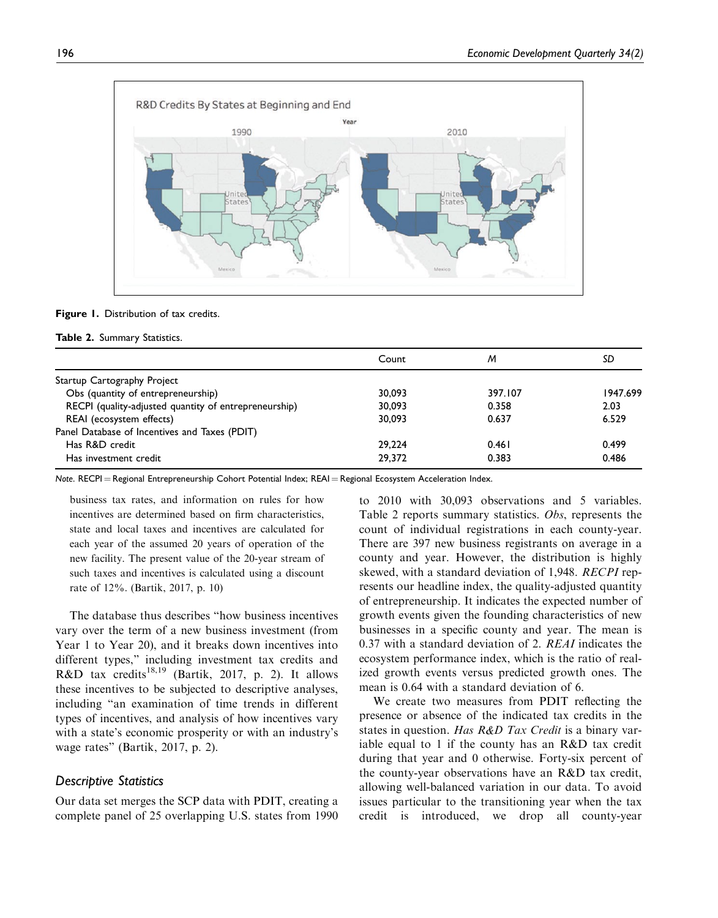

#### Figure 1. Distribution of tax credits.

#### Table 2. Summary Statistics.

|                                                       | Count  | M       | SD       |
|-------------------------------------------------------|--------|---------|----------|
| Startup Cartography Project                           |        |         |          |
| Obs (quantity of entrepreneurship)                    | 30.093 | 397.107 | 1947.699 |
| RECPI (quality-adjusted quantity of entrepreneurship) | 30,093 | 0.358   | 2.03     |
| REAI (ecosystem effects)                              | 30.093 | 0.637   | 6.529    |
| Panel Database of Incentives and Taxes (PDIT)         |        |         |          |
| Has R&D credit                                        | 29.224 | 0.461   | 0.499    |
| Has investment credit                                 | 29,372 | 0.383   | 0.486    |

Note. RECPI = Regional Entrepreneurship Cohort Potential Index; REAI = Regional Ecosystem Acceleration Index.

business tax rates, and information on rules for how incentives are determined based on firm characteristics, state and local taxes and incentives are calculated for each year of the assumed 20 years of operation of the new facility. The present value of the 20-year stream of such taxes and incentives is calculated using a discount rate of 12%. (Bartik, 2017, p. 10)

The database thus describes "how business incentives vary over the term of a new business investment (from Year 1 to Year 20), and it breaks down incentives into different types," including investment tax credits and R&D tax credits<sup>18,19</sup> (Bartik, 2017, p. 2). It allows these incentives to be subjected to descriptive analyses, including "an examination of time trends in different types of incentives, and analysis of how incentives vary with a state's economic prosperity or with an industry's wage rates" (Bartik, 2017, p. 2).

#### Descriptive Statistics

Our data set merges the SCP data with PDIT, creating a complete panel of 25 overlapping U.S. states from 1990 to 2010 with 30,093 observations and 5 variables. Table 2 reports summary statistics. Obs, represents the count of individual registrations in each county-year. There are 397 new business registrants on average in a county and year. However, the distribution is highly skewed, with a standard deviation of 1,948. RECPI represents our headline index, the quality-adjusted quantity of entrepreneurship. It indicates the expected number of growth events given the founding characteristics of new businesses in a specific county and year. The mean is 0.37 with a standard deviation of 2. REAI indicates the ecosystem performance index, which is the ratio of realized growth events versus predicted growth ones. The mean is 0.64 with a standard deviation of 6.

We create two measures from PDIT reflecting the presence or absence of the indicated tax credits in the states in question. Has R&D Tax Credit is a binary variable equal to 1 if the county has an R&D tax credit during that year and 0 otherwise. Forty-six percent of the county-year observations have an R&D tax credit, allowing well-balanced variation in our data. To avoid issues particular to the transitioning year when the tax credit is introduced, we drop all county-year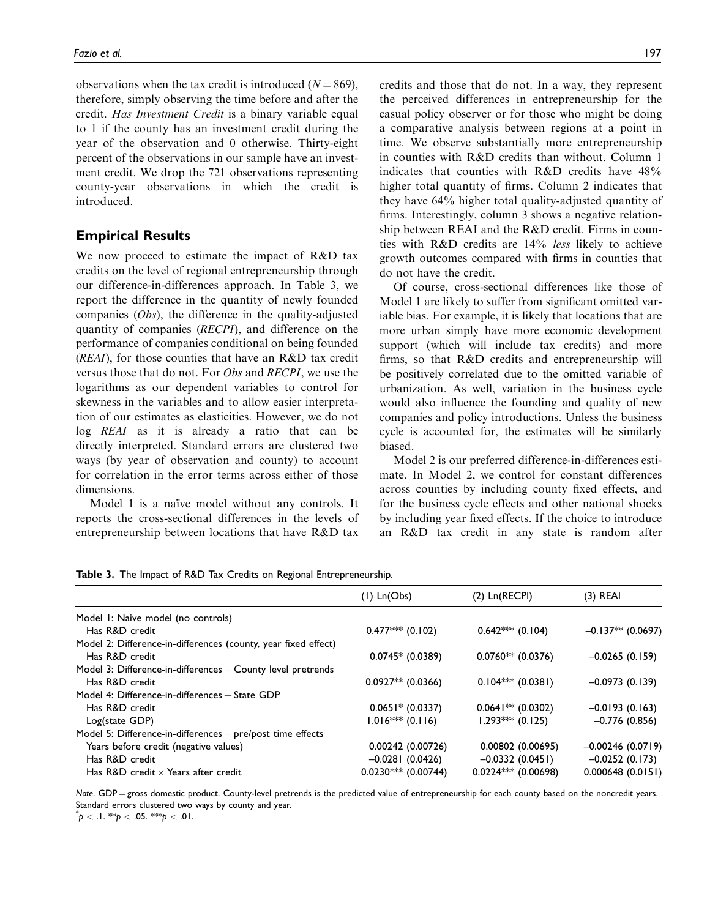observations when the tax credit is introduced  $(N = 869)$ , therefore, simply observing the time before and after the credit. Has Investment Credit is a binary variable equal to 1 if the county has an investment credit during the year of the observation and 0 otherwise. Thirty-eight percent of the observations in our sample have an investment credit. We drop the 721 observations representing county-year observations in which the credit is introduced.

## Empirical Results

We now proceed to estimate the impact of R&D tax credits on the level of regional entrepreneurship through our difference-in-differences approach. In Table 3, we report the difference in the quantity of newly founded companies (Obs), the difference in the quality-adjusted quantity of companies (RECPI), and difference on the performance of companies conditional on being founded (REAI), for those counties that have an R&D tax credit versus those that do not. For Obs and RECPI, we use the logarithms as our dependent variables to control for skewness in the variables and to allow easier interpretation of our estimates as elasticities. However, we do not log REAI as it is already a ratio that can be directly interpreted. Standard errors are clustered two ways (by year of observation and county) to account for correlation in the error terms across either of those dimensions.

Model 1 is a naïve model without any controls. It reports the cross-sectional differences in the levels of entrepreneurship between locations that have R&D tax

credits and those that do not. In a way, they represent the perceived differences in entrepreneurship for the casual policy observer or for those who might be doing a comparative analysis between regions at a point in time. We observe substantially more entrepreneurship in counties with R&D credits than without. Column 1 indicates that counties with R&D credits have 48% higher total quantity of firms. Column 2 indicates that they have 64% higher total quality-adjusted quantity of firms. Interestingly, column 3 shows a negative relationship between REAI and the R&D credit. Firms in counties with R&D credits are 14% less likely to achieve growth outcomes compared with firms in counties that do not have the credit.

Of course, cross-sectional differences like those of Model 1 are likely to suffer from significant omitted variable bias. For example, it is likely that locations that are more urban simply have more economic development support (which will include tax credits) and more firms, so that R&D credits and entrepreneurship will be positively correlated due to the omitted variable of urbanization. As well, variation in the business cycle would also influence the founding and quality of new companies and policy introductions. Unless the business cycle is accounted for, the estimates will be similarly biased.

Model 2 is our preferred difference-in-differences estimate. In Model 2, we control for constant differences across counties by including county fixed effects, and for the business cycle effects and other national shocks by including year fixed effects. If the choice to introduce an R&D tax credit in any state is random after

Table 3. The Impact of R&D Tax Credits on Regional Entrepreneurship.

|                                                                | $(I)$ Ln(Obs)         | $(2)$ Ln $(RECH)$     | $(3)$ REAI          |
|----------------------------------------------------------------|-----------------------|-----------------------|---------------------|
| Model 1: Naive model (no controls)                             |                       |                       |                     |
| Has R&D credit                                                 | $0.477***$ (0.102)    | $0.642$ *** (0.104)   | $-0.137**$ (0.0697) |
| Model 2: Difference-in-differences (county, year fixed effect) |                       |                       |                     |
| Has R&D credit                                                 | $0.0745*$ (0.0389)    | $0.0760**$ (0.0376)   | $-0.0265(0.159)$    |
| Model 3: Difference-in-differences $+$ County level pretrends  |                       |                       |                     |
| Has R&D credit                                                 | $0.0927**$ (0.0366)   | $0.104***$ (0.0381)   | $-0.0973(0.139)$    |
| Model 4: Difference-in-differences $+$ State GDP               |                       |                       |                     |
| Has R&D credit                                                 | $0.0651* (0.0337)$    | $0.0641**$ (0.0302)   | $-0.0193(0.163)$    |
| Log(state GDP)                                                 | $1.016***$ (0.116)    | $1.293***$ (0.125)    | $-0.776(0.856)$     |
| Model 5: Difference-in-differences $+$ pre/post time effects   |                       |                       |                     |
| Years before credit (negative values)                          | 0.00242 (0.00726)     | 0.00802 (0.00695)     | $-0.00246(0.0719)$  |
| Has R&D credit                                                 | $-0.0281(0.0426)$     | $-0.0332(0.0451)$     | $-0.0252(0.173)$    |
| Has R&D credit $\times$ Years after credit                     | $0.0230***$ (0.00744) | $0.0224***$ (0.00698) | 0.000648(0.0151)    |

Note. GDP = gross domestic product. County-level pretrends is the predicted value of entrepreneurship for each county based on the noncredit years. Standard errors clustered two ways by county and year.

 $p^* p < 0.11 \cdot p < 0.051 \cdot p < 0.011$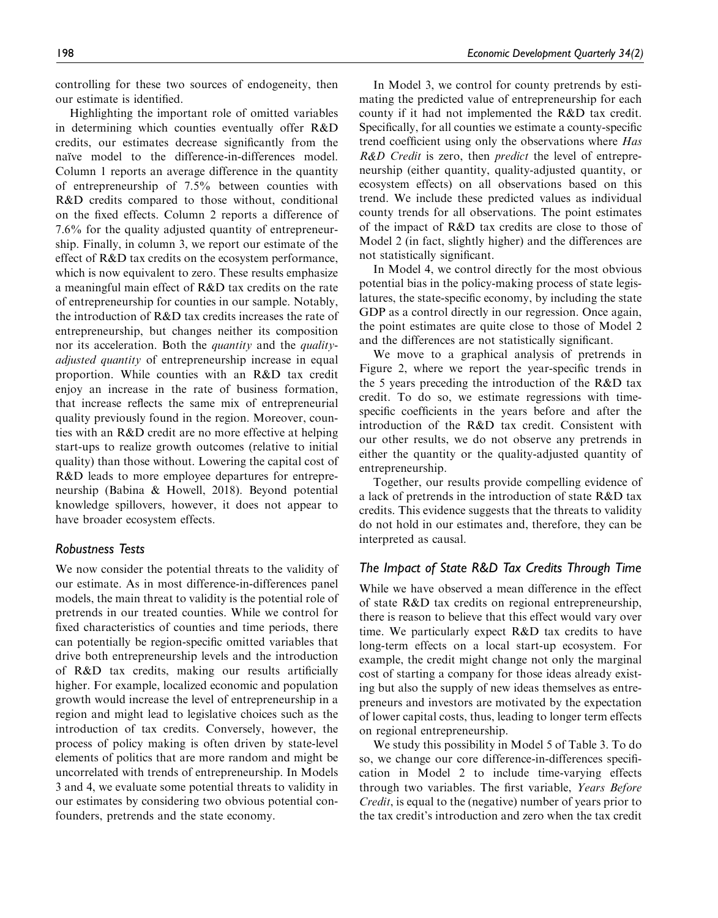controlling for these two sources of endogeneity, then our estimate is identified.

Highlighting the important role of omitted variables in determining which counties eventually offer R&D credits, our estimates decrease significantly from the naïve model to the difference-in-differences model. Column 1 reports an average difference in the quantity of entrepreneurship of 7.5% between counties with R&D credits compared to those without, conditional on the fixed effects. Column 2 reports a difference of 7.6% for the quality adjusted quantity of entrepreneurship. Finally, in column 3, we report our estimate of the effect of R&D tax credits on the ecosystem performance, which is now equivalent to zero. These results emphasize a meaningful main effect of R&D tax credits on the rate of entrepreneurship for counties in our sample. Notably, the introduction of R&D tax credits increases the rate of entrepreneurship, but changes neither its composition nor its acceleration. Both the *quantity* and the *quality*adjusted quantity of entrepreneurship increase in equal proportion. While counties with an R&D tax credit enjoy an increase in the rate of business formation, that increase reflects the same mix of entrepreneurial quality previously found in the region. Moreover, counties with an R&D credit are no more effective at helping start-ups to realize growth outcomes (relative to initial quality) than those without. Lowering the capital cost of R&D leads to more employee departures for entrepreneurship (Babina & Howell, 2018). Beyond potential knowledge spillovers, however, it does not appear to have broader ecosystem effects.

## Robustness Tests

We now consider the potential threats to the validity of our estimate. As in most difference-in-differences panel models, the main threat to validity is the potential role of pretrends in our treated counties. While we control for fixed characteristics of counties and time periods, there can potentially be region-specific omitted variables that drive both entrepreneurship levels and the introduction of R&D tax credits, making our results artificially higher. For example, localized economic and population growth would increase the level of entrepreneurship in a region and might lead to legislative choices such as the introduction of tax credits. Conversely, however, the process of policy making is often driven by state-level elements of politics that are more random and might be uncorrelated with trends of entrepreneurship. In Models 3 and 4, we evaluate some potential threats to validity in our estimates by considering two obvious potential confounders, pretrends and the state economy.

In Model 3, we control for county pretrends by estimating the predicted value of entrepreneurship for each county if it had not implemented the R&D tax credit. Specifically, for all counties we estimate a county-specific trend coefficient using only the observations where Has R&D Credit is zero, then *predict* the level of entrepreneurship (either quantity, quality-adjusted quantity, or ecosystem effects) on all observations based on this trend. We include these predicted values as individual county trends for all observations. The point estimates of the impact of R&D tax credits are close to those of Model 2 (in fact, slightly higher) and the differences are not statistically significant.

In Model 4, we control directly for the most obvious potential bias in the policy-making process of state legislatures, the state-specific economy, by including the state GDP as a control directly in our regression. Once again, the point estimates are quite close to those of Model 2 and the differences are not statistically significant.

We move to a graphical analysis of pretrends in Figure 2, where we report the year-specific trends in the 5 years preceding the introduction of the R&D tax credit. To do so, we estimate regressions with timespecific coefficients in the years before and after the introduction of the R&D tax credit. Consistent with our other results, we do not observe any pretrends in either the quantity or the quality-adjusted quantity of entrepreneurship.

Together, our results provide compelling evidence of a lack of pretrends in the introduction of state R&D tax credits. This evidence suggests that the threats to validity do not hold in our estimates and, therefore, they can be interpreted as causal.

# The Impact of State R&D Tax Credits Through Time

While we have observed a mean difference in the effect of state R&D tax credits on regional entrepreneurship, there is reason to believe that this effect would vary over time. We particularly expect R&D tax credits to have long-term effects on a local start-up ecosystem. For example, the credit might change not only the marginal cost of starting a company for those ideas already existing but also the supply of new ideas themselves as entrepreneurs and investors are motivated by the expectation of lower capital costs, thus, leading to longer term effects on regional entrepreneurship.

We study this possibility in Model 5 of Table 3. To do so, we change our core difference-in-differences specification in Model 2 to include time-varying effects through two variables. The first variable, Years Before Credit, is equal to the (negative) number of years prior to the tax credit's introduction and zero when the tax credit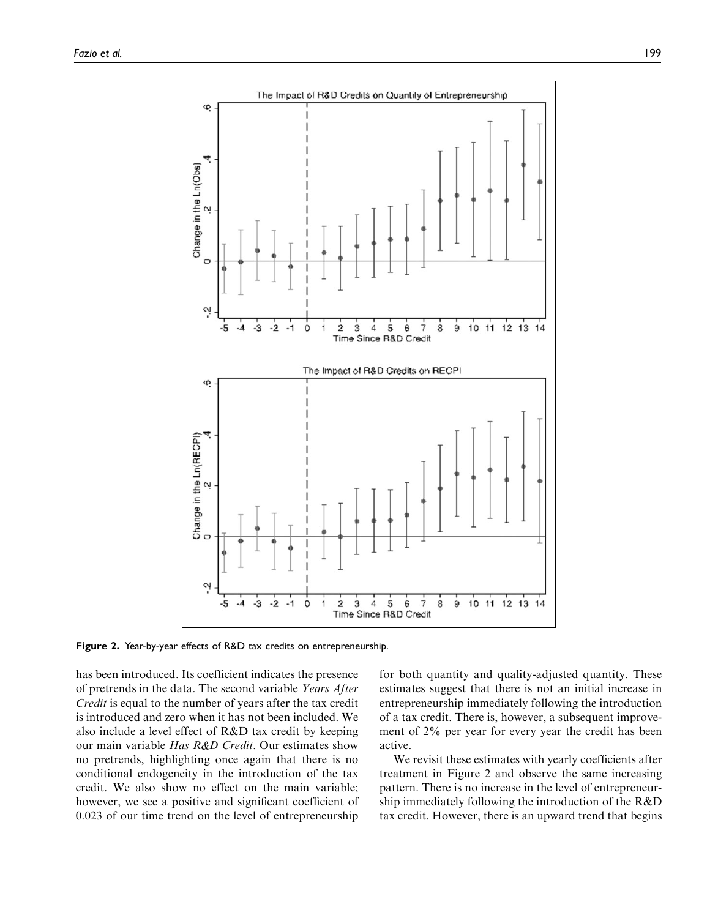

Figure 2. Year-by-year effects of R&D tax credits on entrepreneurship.

has been introduced. Its coefficient indicates the presence of pretrends in the data. The second variable Years After Credit is equal to the number of years after the tax credit is introduced and zero when it has not been included. We also include a level effect of R&D tax credit by keeping our main variable *Has R&D Credit*. Our estimates show no pretrends, highlighting once again that there is no conditional endogeneity in the introduction of the tax credit. We also show no effect on the main variable; however, we see a positive and significant coefficient of 0.023 of our time trend on the level of entrepreneurship for both quantity and quality-adjusted quantity. These estimates suggest that there is not an initial increase in entrepreneurship immediately following the introduction of a tax credit. There is, however, a subsequent improvement of 2% per year for every year the credit has been active.

We revisit these estimates with yearly coefficients after treatment in Figure 2 and observe the same increasing pattern. There is no increase in the level of entrepreneurship immediately following the introduction of the R&D tax credit. However, there is an upward trend that begins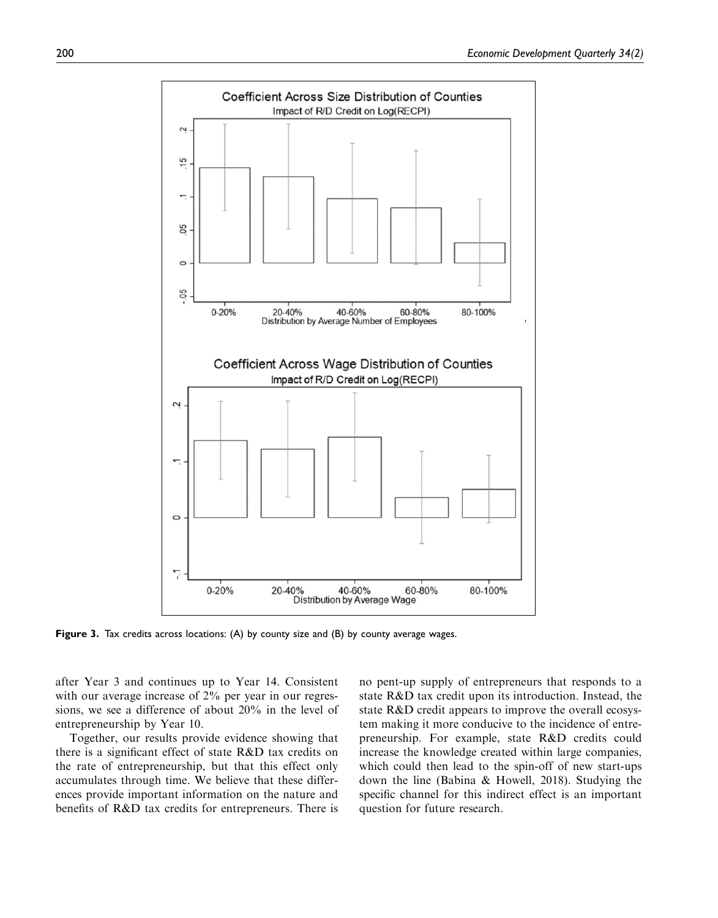

Figure 3. Tax credits across locations: (A) by county size and (B) by county average wages.

after Year 3 and continues up to Year 14. Consistent with our average increase of 2% per year in our regressions, we see a difference of about 20% in the level of entrepreneurship by Year 10.

Together, our results provide evidence showing that there is a significant effect of state R&D tax credits on the rate of entrepreneurship, but that this effect only accumulates through time. We believe that these differences provide important information on the nature and benefits of R&D tax credits for entrepreneurs. There is no pent-up supply of entrepreneurs that responds to a state R&D tax credit upon its introduction. Instead, the state R&D credit appears to improve the overall ecosystem making it more conducive to the incidence of entrepreneurship. For example, state R&D credits could increase the knowledge created within large companies, which could then lead to the spin-off of new start-ups down the line (Babina & Howell, 2018). Studying the specific channel for this indirect effect is an important question for future research.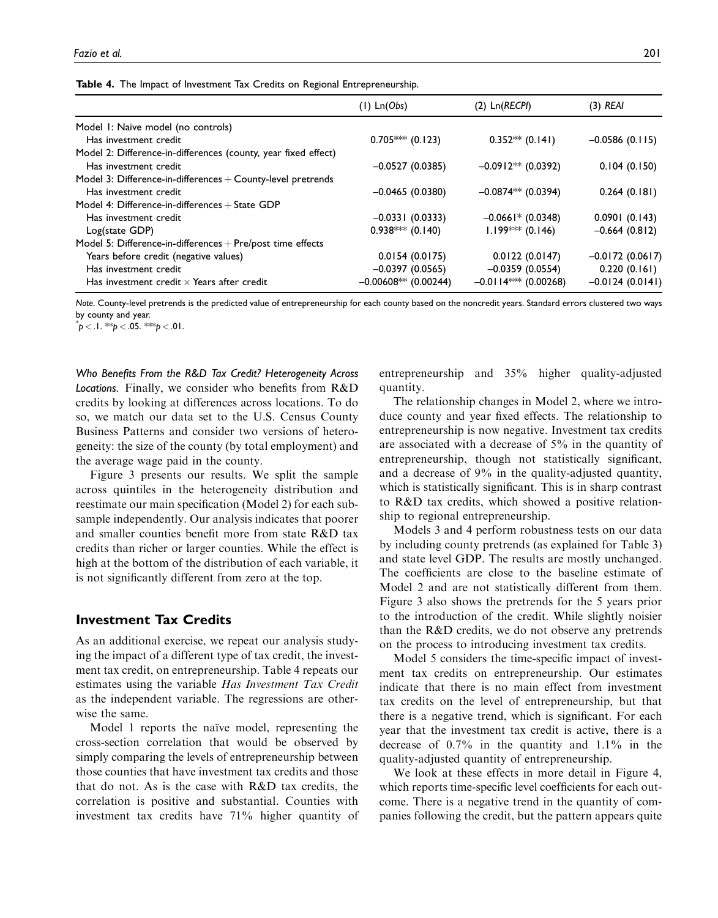|                                                                | $(I)$ Ln $(Obs)$       | $(2)$ Ln $(RECH)$       | $(3)$ REAI        |
|----------------------------------------------------------------|------------------------|-------------------------|-------------------|
| Model I: Naive model (no controls)                             |                        |                         |                   |
| Has investment credit                                          | $0.705***(0.123)$      | $0.352**$ (0.141)       | $-0.0586(0.115)$  |
| Model 2: Difference-in-differences (county, year fixed effect) |                        |                         |                   |
| Has investment credit                                          | $-0.0527(0.0385)$      | $-0.0912**$ (0.0392)    | 0.104(0.150)      |
| Model 3: Difference-in-differences + County-level pretrends    |                        |                         |                   |
| Has investment credit                                          | $-0.0465(0.0380)$      | $-0.0874**$ (0.0394)    | 0.264(0.181)      |
| Model 4: Difference-in-differences $+$ State GDP               |                        |                         |                   |
| Has investment credit                                          | $-0.0331(0.0333)$      | $-0.0661*$ (0.0348)     | 0.0901(0.143)     |
| Log(state GDP)                                                 | $0.938***(0.140)$      | $1.199*** (0.146)$      | $-0.664(0.812)$   |
| Model 5: Difference-in-differences $+$ Pre/post time effects   |                        |                         |                   |
| Years before credit (negative values)                          | 0.0154(0.0175)         | 0.0122(0.0147)          | $-0.0172(0.0617)$ |
| Has investment credit                                          | $-0.0397(0.0565)$      | $-0.0359(0.0554)$       | 0.220(0.161)      |
| Has investment credit $\times$ Years after credit              | $-0.00608**$ (0.00244) | $-0.0114$ *** (0.00268) | $-0.0124(0.0141)$ |

Table 4. The Impact of Investment Tax Credits on Regional Entrepreneurship.

Note. County-level pretrends is the predicted value of entrepreneurship for each county based on the noncredit years. Standard errors clustered two ways by county and year.

 $p < 1.$  \*\*p  $< .05.$  \*\*\*p  $< .01.$ 

Who Benefits From the R&D Tax Credit? Heterogeneity Across Locations. Finally, we consider who benefits from R&D credits by looking at differences across locations. To do so, we match our data set to the U.S. Census County Business Patterns and consider two versions of heterogeneity: the size of the county (by total employment) and the average wage paid in the county.

Figure 3 presents our results. We split the sample across quintiles in the heterogeneity distribution and reestimate our main specification (Model 2) for each subsample independently. Our analysis indicates that poorer and smaller counties benefit more from state R&D tax credits than richer or larger counties. While the effect is high at the bottom of the distribution of each variable, it is not significantly different from zero at the top.

# Investment Tax Credits

As an additional exercise, we repeat our analysis studying the impact of a different type of tax credit, the investment tax credit, on entrepreneurship. Table 4 repeats our estimates using the variable Has Investment Tax Credit as the independent variable. The regressions are otherwise the same.

Model 1 reports the naïve model, representing the cross-section correlation that would be observed by simply comparing the levels of entrepreneurship between those counties that have investment tax credits and those that do not. As is the case with R&D tax credits, the correlation is positive and substantial. Counties with investment tax credits have 71% higher quantity of entrepreneurship and 35% higher quality-adjusted quantity.

The relationship changes in Model 2, where we introduce county and year fixed effects. The relationship to entrepreneurship is now negative. Investment tax credits are associated with a decrease of 5% in the quantity of entrepreneurship, though not statistically significant, and a decrease of 9% in the quality-adjusted quantity, which is statistically significant. This is in sharp contrast to R&D tax credits, which showed a positive relationship to regional entrepreneurship.

Models 3 and 4 perform robustness tests on our data by including county pretrends (as explained for Table 3) and state level GDP. The results are mostly unchanged. The coefficients are close to the baseline estimate of Model 2 and are not statistically different from them. Figure 3 also shows the pretrends for the 5 years prior to the introduction of the credit. While slightly noisier than the R&D credits, we do not observe any pretrends on the process to introducing investment tax credits.

Model 5 considers the time-specific impact of investment tax credits on entrepreneurship. Our estimates indicate that there is no main effect from investment tax credits on the level of entrepreneurship, but that there is a negative trend, which is significant. For each year that the investment tax credit is active, there is a decrease of 0.7% in the quantity and 1.1% in the quality-adjusted quantity of entrepreneurship.

We look at these effects in more detail in Figure 4, which reports time-specific level coefficients for each outcome. There is a negative trend in the quantity of companies following the credit, but the pattern appears quite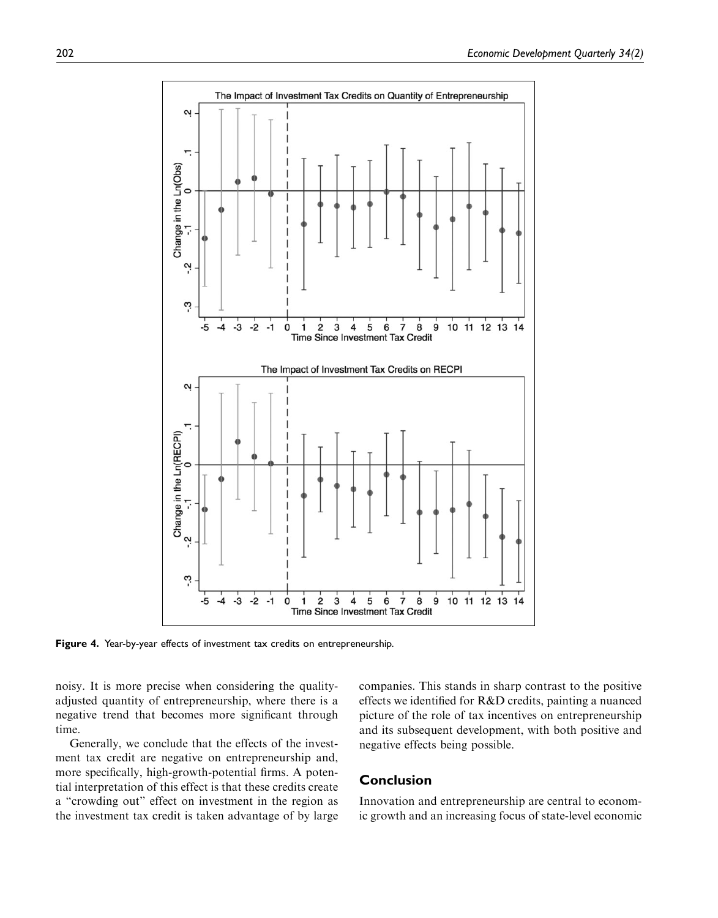

Figure 4. Year-by-year effects of investment tax credits on entrepreneurship.

noisy. It is more precise when considering the qualityadjusted quantity of entrepreneurship, where there is a negative trend that becomes more significant through time.

Generally, we conclude that the effects of the investment tax credit are negative on entrepreneurship and, more specifically, high-growth-potential firms. A potential interpretation of this effect is that these credits create a "crowding out" effect on investment in the region as the investment tax credit is taken advantage of by large companies. This stands in sharp contrast to the positive effects we identified for R&D credits, painting a nuanced picture of the role of tax incentives on entrepreneurship and its subsequent development, with both positive and negative effects being possible.

# Conclusion

Innovation and entrepreneurship are central to economic growth and an increasing focus of state-level economic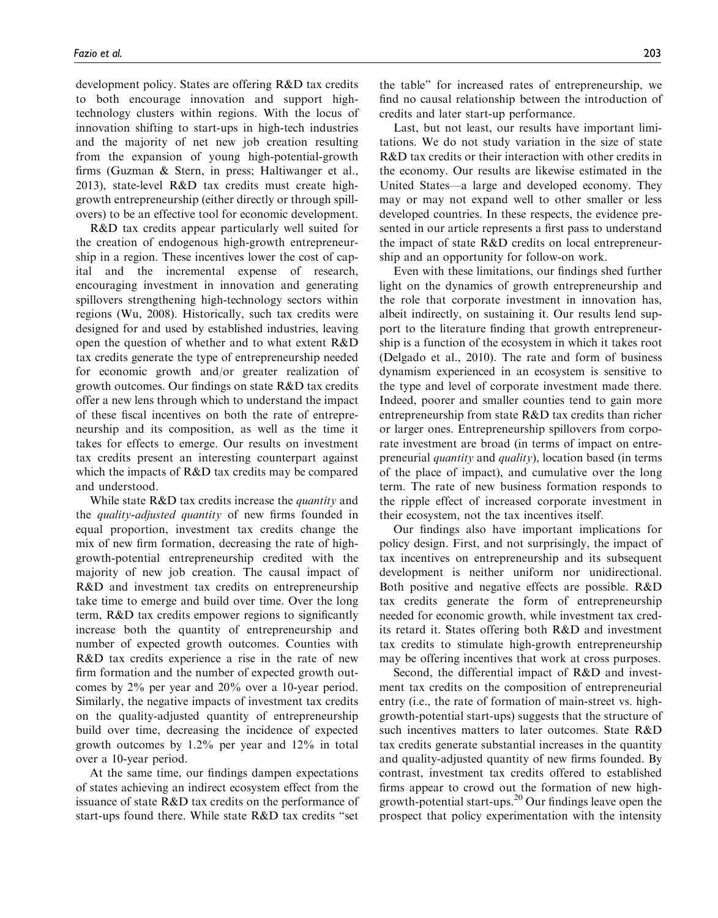development policy. States are offering R&D tax credits to both encourage innovation and support hightechnology clusters within regions. With the locus of innovation shifting to start-ups in high-tech industries and the majority of net new job creation resulting from the expansion of young high-potential-growth firms (Guzman & Stern, in press; Haltiwanger et al., 2013), state-level R&D tax credits must create highgrowth entrepreneurship (either directly or through spillovers) to be an effective tool for economic development.

R&D tax credits appear particularly well suited for the creation of endogenous high-growth entrepreneurship in a region. These incentives lower the cost of capital and the incremental expense of research, encouraging investment in innovation and generating spillovers strengthening high-technology sectors within regions (Wu, 2008). Historically, such tax credits were designed for and used by established industries, leaving open the question of whether and to what extent R&D tax credits generate the type of entrepreneurship needed for economic growth and/or greater realization of growth outcomes. Our findings on state R&D tax credits offer a new lens through which to understand the impact of these fiscal incentives on both the rate of entrepreneurship and its composition, as well as the time it takes for effects to emerge. Our results on investment tax credits present an interesting counterpart against which the impacts of R&D tax credits may be compared and understood.

While state R&D tax credits increase the *quantity* and the quality-adjusted quantity of new firms founded in equal proportion, investment tax credits change the mix of new firm formation, decreasing the rate of highgrowth-potential entrepreneurship credited with the majority of new job creation. The causal impact of R&D and investment tax credits on entrepreneurship take time to emerge and build over time. Over the long term, R&D tax credits empower regions to significantly increase both the quantity of entrepreneurship and number of expected growth outcomes. Counties with R&D tax credits experience a rise in the rate of new firm formation and the number of expected growth outcomes by 2% per year and 20% over a 10-year period. Similarly, the negative impacts of investment tax credits on the quality-adjusted quantity of entrepreneurship build over time, decreasing the incidence of expected growth outcomes by 1.2% per year and 12% in total over a 10-year period.

At the same time, our findings dampen expectations of states achieving an indirect ecosystem effect from the issuance of state R&D tax credits on the performance of start-ups found there. While state R&D tax credits "set

the table" for increased rates of entrepreneurship, we find no causal relationship between the introduction of credits and later start-up performance.

Last, but not least, our results have important limitations. We do not study variation in the size of state R&D tax credits or their interaction with other credits in the economy. Our results are likewise estimated in the United States—a large and developed economy. They may or may not expand well to other smaller or less developed countries. In these respects, the evidence presented in our article represents a first pass to understand the impact of state R&D credits on local entrepreneurship and an opportunity for follow-on work.

Even with these limitations, our findings shed further light on the dynamics of growth entrepreneurship and the role that corporate investment in innovation has, albeit indirectly, on sustaining it. Our results lend support to the literature finding that growth entrepreneurship is a function of the ecosystem in which it takes root (Delgado et al., 2010). The rate and form of business dynamism experienced in an ecosystem is sensitive to the type and level of corporate investment made there. Indeed, poorer and smaller counties tend to gain more entrepreneurship from state R&D tax credits than richer or larger ones. Entrepreneurship spillovers from corporate investment are broad (in terms of impact on entrepreneurial quantity and quality), location based (in terms of the place of impact), and cumulative over the long term. The rate of new business formation responds to the ripple effect of increased corporate investment in their ecosystem, not the tax incentives itself.

Our findings also have important implications for policy design. First, and not surprisingly, the impact of tax incentives on entrepreneurship and its subsequent development is neither uniform nor unidirectional. Both positive and negative effects are possible. R&D tax credits generate the form of entrepreneurship needed for economic growth, while investment tax credits retard it. States offering both R&D and investment tax credits to stimulate high-growth entrepreneurship may be offering incentives that work at cross purposes.

Second, the differential impact of R&D and investment tax credits on the composition of entrepreneurial entry (i.e., the rate of formation of main-street vs. highgrowth-potential start-ups) suggests that the structure of such incentives matters to later outcomes. State R&D tax credits generate substantial increases in the quantity and quality-adjusted quantity of new firms founded. By contrast, investment tax credits offered to established firms appear to crowd out the formation of new highgrowth-potential start-ups.20 Our findings leave open the prospect that policy experimentation with the intensity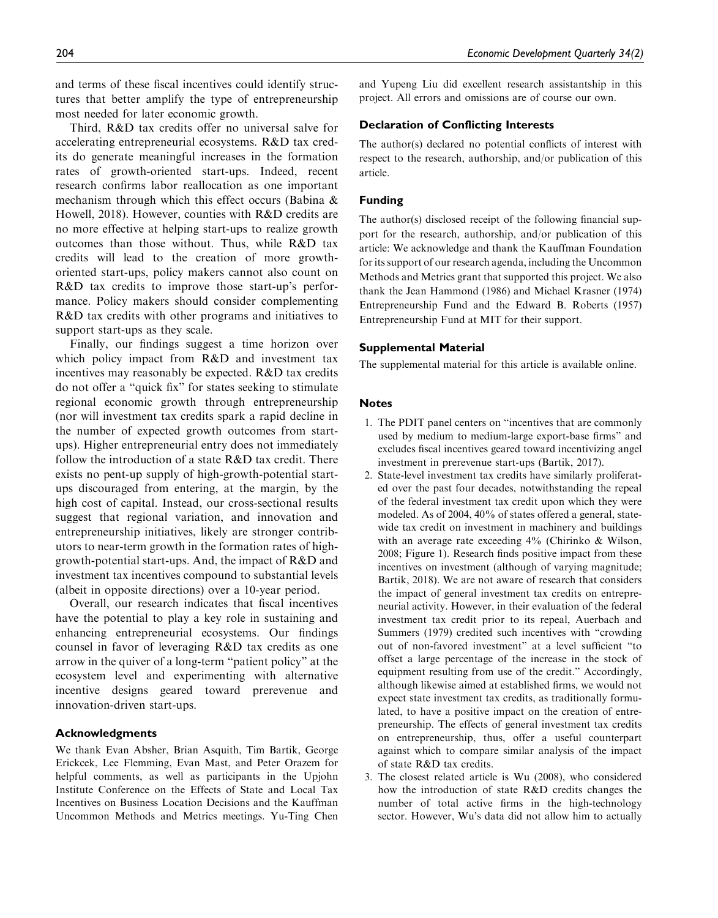and terms of these fiscal incentives could identify structures that better amplify the type of entrepreneurship most needed for later economic growth.

Third, R&D tax credits offer no universal salve for accelerating entrepreneurial ecosystems. R&D tax credits do generate meaningful increases in the formation rates of growth-oriented start-ups. Indeed, recent research confirms labor reallocation as one important mechanism through which this effect occurs (Babina & Howell, 2018). However, counties with R&D credits are no more effective at helping start-ups to realize growth outcomes than those without. Thus, while R&D tax credits will lead to the creation of more growthoriented start-ups, policy makers cannot also count on R&D tax credits to improve those start-up's performance. Policy makers should consider complementing R&D tax credits with other programs and initiatives to support start-ups as they scale.

Finally, our findings suggest a time horizon over which policy impact from R&D and investment tax incentives may reasonably be expected. R&D tax credits do not offer a "quick fix" for states seeking to stimulate regional economic growth through entrepreneurship (nor will investment tax credits spark a rapid decline in the number of expected growth outcomes from startups). Higher entrepreneurial entry does not immediately follow the introduction of a state R&D tax credit. There exists no pent-up supply of high-growth-potential startups discouraged from entering, at the margin, by the high cost of capital. Instead, our cross-sectional results suggest that regional variation, and innovation and entrepreneurship initiatives, likely are stronger contributors to near-term growth in the formation rates of highgrowth-potential start-ups. And, the impact of R&D and investment tax incentives compound to substantial levels (albeit in opposite directions) over a 10-year period.

Overall, our research indicates that fiscal incentives have the potential to play a key role in sustaining and enhancing entrepreneurial ecosystems. Our findings counsel in favor of leveraging R&D tax credits as one arrow in the quiver of a long-term "patient policy" at the ecosystem level and experimenting with alternative incentive designs geared toward prerevenue and innovation-driven start-ups.

#### Acknowledgments

We thank Evan Absher, Brian Asquith, Tim Bartik, George Erickcek, Lee Flemming, Evan Mast, and Peter Orazem for helpful comments, as well as participants in the Upjohn Institute Conference on the Effects of State and Local Tax Incentives on Business Location Decisions and the Kauffman Uncommon Methods and Metrics meetings. Yu-Ting Chen and Yupeng Liu did excellent research assistantship in this project. All errors and omissions are of course our own.

#### Declaration of Conflicting Interests

The author(s) declared no potential conflicts of interest with respect to the research, authorship, and/or publication of this article.

#### Funding

The author(s) disclosed receipt of the following financial support for the research, authorship, and/or publication of this article: We acknowledge and thank the Kauffman Foundation for its support of our research agenda, including the Uncommon Methods and Metrics grant that supported this project. We also thank the Jean Hammond (1986) and Michael Krasner (1974) Entrepreneurship Fund and the Edward B. Roberts (1957) Entrepreneurship Fund at MIT for their support.

#### Supplemental Material

The supplemental material for this article is available online.

#### **Notes**

- 1. The PDIT panel centers on "incentives that are commonly used by medium to medium-large export-base firms" and excludes fiscal incentives geared toward incentivizing angel investment in prerevenue start-ups (Bartik, 2017).
- 2. State-level investment tax credits have similarly proliferated over the past four decades, notwithstanding the repeal of the federal investment tax credit upon which they were modeled. As of 2004, 40% of states offered a general, statewide tax credit on investment in machinery and buildings with an average rate exceeding 4% (Chirinko & Wilson, 2008; Figure 1). Research finds positive impact from these incentives on investment (although of varying magnitude; Bartik, 2018). We are not aware of research that considers the impact of general investment tax credits on entrepreneurial activity. However, in their evaluation of the federal investment tax credit prior to its repeal, Auerbach and Summers (1979) credited such incentives with "crowding out of non-favored investment" at a level sufficient "to offset a large percentage of the increase in the stock of equipment resulting from use of the credit." Accordingly, although likewise aimed at established firms, we would not expect state investment tax credits, as traditionally formulated, to have a positive impact on the creation of entrepreneurship. The effects of general investment tax credits on entrepreneurship, thus, offer a useful counterpart against which to compare similar analysis of the impact of state R&D tax credits.
- 3. The closest related article is Wu (2008), who considered how the introduction of state R&D credits changes the number of total active firms in the high-technology sector. However, Wu's data did not allow him to actually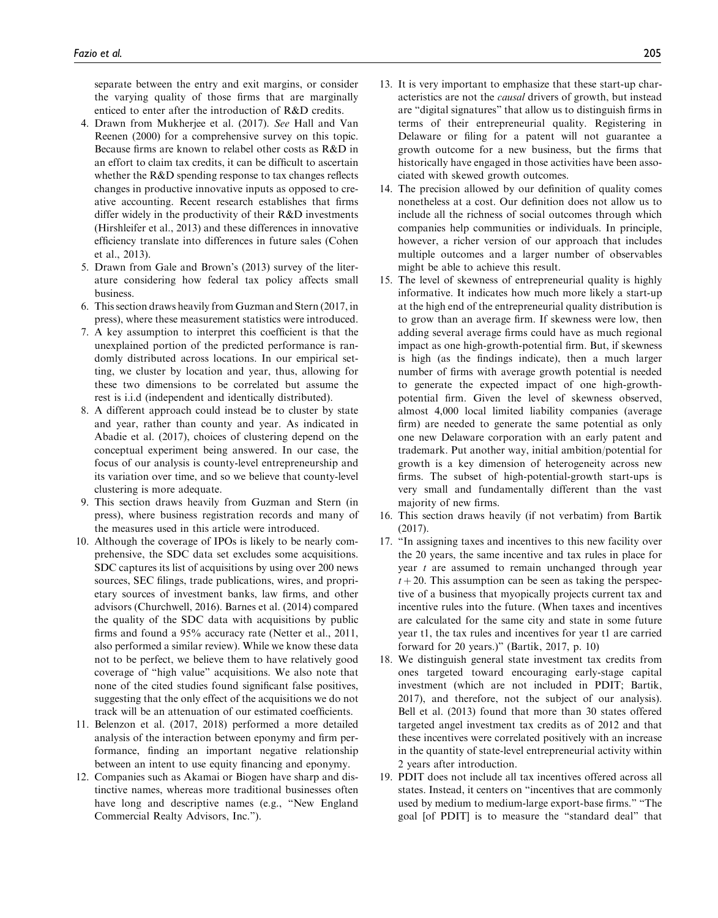separate between the entry and exit margins, or consider the varying quality of those firms that are marginally enticed to enter after the introduction of R&D credits.

- 4. Drawn from Mukherjee et al. (2017). See Hall and Van Reenen (2000) for a comprehensive survey on this topic. Because firms are known to relabel other costs as R&D in an effort to claim tax credits, it can be difficult to ascertain whether the R&D spending response to tax changes reflects changes in productive innovative inputs as opposed to creative accounting. Recent research establishes that firms differ widely in the productivity of their R&D investments (Hirshleifer et al., 2013) and these differences in innovative efficiency translate into differences in future sales (Cohen et al., 2013).
- 5. Drawn from Gale and Brown's (2013) survey of the literature considering how federal tax policy affects small business.
- 6. This section draws heavily from Guzman and Stern (2017, in press), where these measurement statistics were introduced.
- 7. A key assumption to interpret this coefficient is that the unexplained portion of the predicted performance is randomly distributed across locations. In our empirical setting, we cluster by location and year, thus, allowing for these two dimensions to be correlated but assume the rest is i.i.d (independent and identically distributed).
- 8. A different approach could instead be to cluster by state and year, rather than county and year. As indicated in Abadie et al. (2017), choices of clustering depend on the conceptual experiment being answered. In our case, the focus of our analysis is county-level entrepreneurship and its variation over time, and so we believe that county-level clustering is more adequate.
- 9. This section draws heavily from Guzman and Stern (in press), where business registration records and many of the measures used in this article were introduced.
- 10. Although the coverage of IPOs is likely to be nearly comprehensive, the SDC data set excludes some acquisitions. SDC captures its list of acquisitions by using over 200 news sources, SEC filings, trade publications, wires, and proprietary sources of investment banks, law firms, and other advisors (Churchwell, 2016). Barnes et al. (2014) compared the quality of the SDC data with acquisitions by public firms and found a 95% accuracy rate (Netter et al., 2011, also performed a similar review). While we know these data not to be perfect, we believe them to have relatively good coverage of "high value" acquisitions. We also note that none of the cited studies found significant false positives, suggesting that the only effect of the acquisitions we do not track will be an attenuation of our estimated coefficients.
- 11. Belenzon et al. (2017, 2018) performed a more detailed analysis of the interaction between eponymy and firm performance, finding an important negative relationship between an intent to use equity financing and eponymy.
- 12. Companies such as Akamai or Biogen have sharp and distinctive names, whereas more traditional businesses often have long and descriptive names (e.g., "New England Commercial Realty Advisors, Inc.").
- 13. It is very important to emphasize that these start-up characteristics are not the causal drivers of growth, but instead are "digital signatures" that allow us to distinguish firms in terms of their entrepreneurial quality. Registering in Delaware or filing for a patent will not guarantee a growth outcome for a new business, but the firms that historically have engaged in those activities have been associated with skewed growth outcomes.
- 14. The precision allowed by our definition of quality comes nonetheless at a cost. Our definition does not allow us to include all the richness of social outcomes through which companies help communities or individuals. In principle, however, a richer version of our approach that includes multiple outcomes and a larger number of observables might be able to achieve this result.
- 15. The level of skewness of entrepreneurial quality is highly informative. It indicates how much more likely a start-up at the high end of the entrepreneurial quality distribution is to grow than an average firm. If skewness were low, then adding several average firms could have as much regional impact as one high-growth-potential firm. But, if skewness is high (as the findings indicate), then a much larger number of firms with average growth potential is needed to generate the expected impact of one high-growthpotential firm. Given the level of skewness observed, almost 4,000 local limited liability companies (average firm) are needed to generate the same potential as only one new Delaware corporation with an early patent and trademark. Put another way, initial ambition/potential for growth is a key dimension of heterogeneity across new firms. The subset of high-potential-growth start-ups is very small and fundamentally different than the vast majority of new firms.
- 16. This section draws heavily (if not verbatim) from Bartik (2017).
- 17. "In assigning taxes and incentives to this new facility over the 20 years, the same incentive and tax rules in place for year t are assumed to remain unchanged through year  $t + 20$ . This assumption can be seen as taking the perspective of a business that myopically projects current tax and incentive rules into the future. (When taxes and incentives are calculated for the same city and state in some future year t1, the tax rules and incentives for year t1 are carried forward for 20 years.)" (Bartik, 2017, p. 10)
- 18. We distinguish general state investment tax credits from ones targeted toward encouraging early-stage capital investment (which are not included in PDIT; Bartik, 2017), and therefore, not the subject of our analysis). Bell et al. (2013) found that more than 30 states offered targeted angel investment tax credits as of 2012 and that these incentives were correlated positively with an increase in the quantity of state-level entrepreneurial activity within 2 years after introduction.
- 19. PDIT does not include all tax incentives offered across all states. Instead, it centers on "incentives that are commonly used by medium to medium-large export-base firms." "The goal [of PDIT] is to measure the "standard deal" that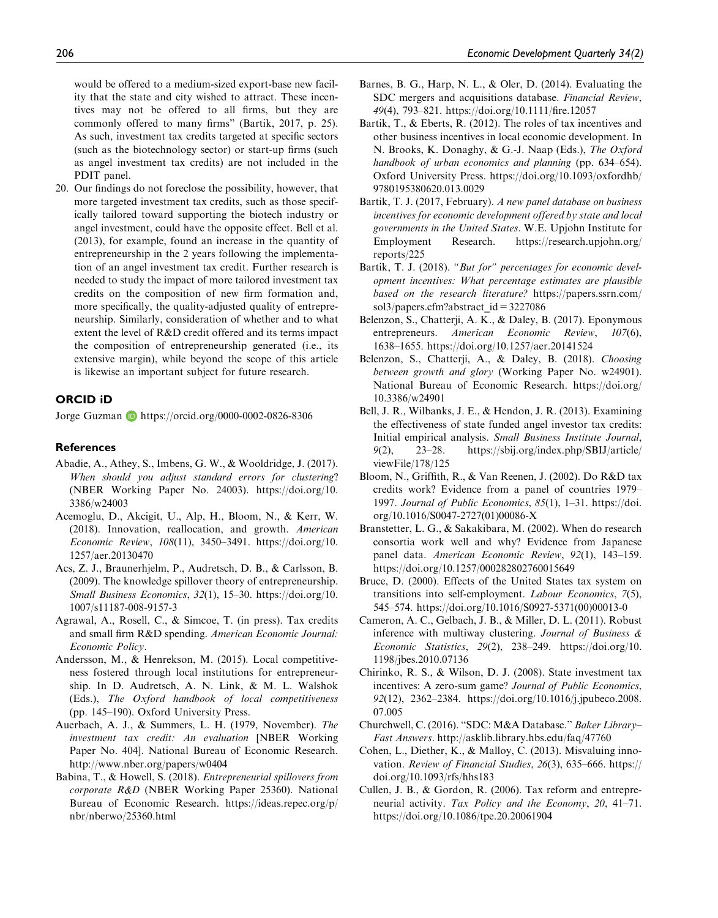would be offered to a medium-sized export-base new facility that the state and city wished to attract. These incentives may not be offered to all firms, but they are commonly offered to many firms" (Bartik, 2017, p. 25). As such, investment tax credits targeted at specific sectors (such as the biotechnology sector) or start-up firms (such as angel investment tax credits) are not included in the PDIT panel.

20. Our findings do not foreclose the possibility, however, that more targeted investment tax credits, such as those specifically tailored toward supporting the biotech industry or angel investment, could have the opposite effect. Bell et al. (2013), for example, found an increase in the quantity of entrepreneurship in the 2 years following the implementation of an angel investment tax credit. Further research is needed to study the impact of more tailored investment tax credits on the composition of new firm formation and, more specifically, the quality-adjusted quality of entrepreneurship. Similarly, consideration of whether and to what extent the level of R&D credit offered and its terms impact the composition of entrepreneurship generated (i.e., its extensive margin), while beyond the scope of this article is likewise an important subject for future research.

## ORCID iD

Jorge Guzman **b** https://orcid.org/0000-0002-0826-8306

## **References**

- Abadie, A., Athey, S., Imbens, G. W., & Wooldridge, J. (2017). When should you adjust standard errors for clustering? (NBER Working Paper No. 24003). https://doi.org/10. 3386/w24003
- Acemoglu, D., Akcigit, U., Alp, H., Bloom, N., & Kerr, W. (2018). Innovation, reallocation, and growth. American Economic Review, 108(11), 3450–3491. https://doi.org/10. 1257/aer.20130470
- Acs, Z. J., Braunerhjelm, P., Audretsch, D. B., & Carlsson, B. (2009). The knowledge spillover theory of entrepreneurship. Small Business Economics, 32(1), 15–30. https://doi.org/10. 1007/s11187-008-9157-3
- Agrawal, A., Rosell, C., & Simcoe, T. (in press). Tax credits and small firm R&D spending. American Economic Journal: Economic Policy.
- Andersson, M., & Henrekson, M. (2015). Local competitiveness fostered through local institutions for entrepreneurship. In D. Audretsch, A. N. Link, & M. L. Walshok (Eds.), The Oxford handbook of local competitiveness (pp. 145–190). Oxford University Press.
- Auerbach, A. J., & Summers, L. H. (1979, November). The investment tax credit: An evaluation [NBER Working Paper No. 404]. National Bureau of Economic Research. http://www.nber.org/papers/w0404
- Babina, T., & Howell, S. (2018). Entrepreneurial spillovers from corporate R&D (NBER Working Paper 25360). National Bureau of Economic Research. https://ideas.repec.org/p/ nbr/nberwo/25360.html
- Barnes, B. G., Harp, N. L., & Oler, D. (2014). Evaluating the SDC mergers and acquisitions database. Financial Review, 49(4), 793–821. https://doi.org/10.1111/fire.12057
- Bartik, T., & Eberts, R. (2012). The roles of tax incentives and other business incentives in local economic development. In N. Brooks, K. Donaghy, & G.-J. Naap (Eds.), The Oxford handbook of urban economics and planning (pp. 634–654). Oxford University Press. https://doi.org/10.1093/oxfordhb/ 9780195380620.013.0029
- Bartik, T. J. (2017, February). A new panel database on business incentives for economic development offered by state and local governments in the United States. W.E. Upjohn Institute for Employment Research. https://research.upjohn.org/ reports/225
- Bartik, T. J. (2018). "But for" percentages for economic development incentives: What percentage estimates are plausible based on the research literature? https://papers.ssrn.com/ sol3/papers.cfm?abstract\_id=3227086
- Belenzon, S., Chatterji, A. K., & Daley, B. (2017). Eponymous entrepreneurs. American Economic Review, 107(6), 1638–1655. https://doi.org/10.1257/aer.20141524
- Belenzon, S., Chatterji, A., & Daley, B. (2018). Choosing between growth and glory (Working Paper No. w24901). National Bureau of Economic Research. https://doi.org/ 10.3386/w24901
- Bell, J. R., Wilbanks, J. E., & Hendon, J. R. (2013). Examining the effectiveness of state funded angel investor tax credits: Initial empirical analysis. Small Business Institute Journal, 9(2), 23–28. https://sbij.org/index.php/SBIJ/article/ viewFile/178/125
- Bloom, N., Griffith, R., & Van Reenen, J. (2002). Do R&D tax credits work? Evidence from a panel of countries 1979– 1997. Journal of Public Economics, 85(1), 1–31. https://doi. org/10.1016/S0047-2727(01)00086-X
- Branstetter, L. G., & Sakakibara, M. (2002). When do research consortia work well and why? Evidence from Japanese panel data. American Economic Review, 92(1), 143–159. https://doi.org/10.1257/000282802760015649
- Bruce, D. (2000). Effects of the United States tax system on transitions into self-employment. Labour Economics, 7(5), 545–574. https://doi.org/10.1016/S0927-5371(00)00013-0
- Cameron, A. C., Gelbach, J. B., & Miller, D. L. (2011). Robust inference with multiway clustering. Journal of Business  $\&$ Economic Statistics, 29(2), 238–249. https://doi.org/10. 1198/jbes.2010.07136
- Chirinko, R. S., & Wilson, D. J. (2008). State investment tax incentives: A zero-sum game? Journal of Public Economics, 92(12), 2362–2384. https://doi.org/10.1016/j.jpubeco.2008. 07.005
- Churchwell, C. (2016). "SDC: M&A Database." Baker Library– Fast Answers. http://asklib.library.hbs.edu/faq/47760
- Cohen, L., Diether, K., & Malloy, C. (2013). Misvaluing innovation. Review of Financial Studies, 26(3), 635–666. https:// doi.org/10.1093/rfs/hhs183
- Cullen, J. B., & Gordon, R. (2006). Tax reform and entrepreneurial activity. Tax Policy and the Economy, 20, 41–71. https://doi.org/10.1086/tpe.20.20061904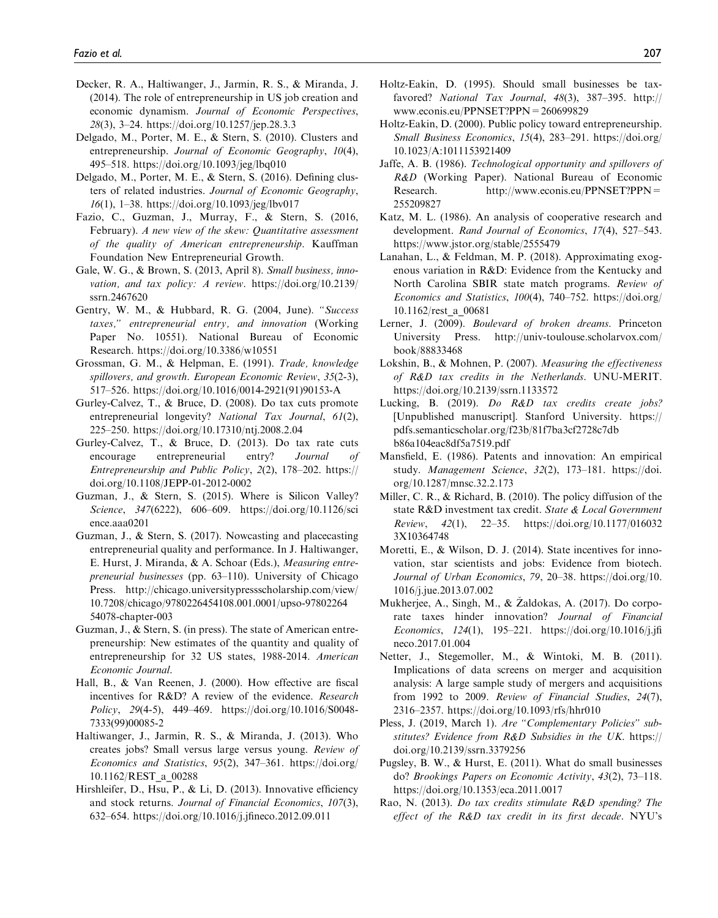- Decker, R. A., Haltiwanger, J., Jarmin, R. S., & Miranda, J. (2014). The role of entrepreneurship in US job creation and economic dynamism. Journal of Economic Perspectives, 28(3), 3–24. https://doi.org/10.1257/jep.28.3.3
- Delgado, M., Porter, M. E., & Stern, S. (2010). Clusters and entrepreneurship. Journal of Economic Geography, 10(4), 495–518. https://doi.org/10.1093/jeg/lbq010
- Delgado, M., Porter, M. E., & Stern, S. (2016). Defining clusters of related industries. Journal of Economic Geography, 16(1), 1–38. https://doi.org/10.1093/jeg/lbv017
- Fazio, C., Guzman, J., Murray, F., & Stern, S. (2016, February). A new view of the skew: Quantitative assessment of the quality of American entrepreneurship. Kauffman Foundation New Entrepreneurial Growth.
- Gale, W. G., & Brown, S. (2013, April 8). Small business, innovation, and tax policy: A review. https://doi.org/10.2139/ ssrn.2467620
- Gentry, W. M., & Hubbard, R. G. (2004, June). "Success taxes," entrepreneurial entry, and innovation (Working Paper No. 10551). National Bureau of Economic Research. https://doi.org/10.3386/w10551
- Grossman, G. M., & Helpman, E. (1991). Trade, knowledge spillovers, and growth. European Economic Review, 35(2-3), 517–526. https://doi.org/10.1016/0014-2921(91)90153-A
- Gurley-Calvez, T., & Bruce, D. (2008). Do tax cuts promote entrepreneurial longevity? National Tax Journal, 61(2), 225–250. https://doi.org/10.17310/ntj.2008.2.04
- Gurley-Calvez, T., & Bruce, D. (2013). Do tax rate cuts encourage entrepreneurial entry? Journal of Entrepreneurship and Public Policy, 2(2), 178–202. https:// doi.org/10.1108/JEPP-01-2012-0002
- Guzman, J., & Stern, S. (2015). Where is Silicon Valley? Science, 347(6222), 606–609. https://doi.org/10.1126/sci ence.aaa0201
- Guzman, J., & Stern, S. (2017). Nowcasting and placecasting entrepreneurial quality and performance. In J. Haltiwanger, E. Hurst, J. Miranda, & A. Schoar (Eds.), Measuring entrepreneurial businesses (pp. 63–110). University of Chicago Press. http://chicago.universitypressscholarship.com/view/ 10.7208/chicago/9780226454108.001.0001/upso-97802264 54078-chapter-003
- Guzman, J., & Stern, S. (in press). The state of American entrepreneurship: New estimates of the quantity and quality of entrepreneurship for 32 US states, 1988-2014. American Economic Journal.
- Hall, B., & Van Reenen, J. (2000). How effective are fiscal incentives for R&D? A review of the evidence. Research Policy, 29(4-5), 449–469. https://doi.org/10.1016/S0048- 7333(99)00085-2
- Haltiwanger, J., Jarmin, R. S., & Miranda, J. (2013). Who creates jobs? Small versus large versus young. Review of Economics and Statistics, 95(2), 347–361. https://doi.org/ 10.1162/REST\_a\_00288
- Hirshleifer, D., Hsu, P., & Li, D. (2013). Innovative efficiency and stock returns. Journal of Financial Economics, 107(3), 632–654. https://doi.org/10.1016/j.jfineco.2012.09.011
- Holtz-Eakin, D. (1995). Should small businesses be taxfavored? National Tax Journal, 48(3), 387-395. http:// www.econis.eu/PPNSET?PPN=260699829
- Holtz-Eakin, D. (2000). Public policy toward entrepreneurship. Small Business Economics, 15(4), 283–291. https://doi.org/ 10.1023/A:1011153921409
- Jaffe, A. B. (1986). Technological opportunity and spillovers of R&D (Working Paper). National Bureau of Economic Research. http://www.econis.eu/PPNSET?PPN= 255209827
- Katz, M. L. (1986). An analysis of cooperative research and development. Rand Journal of Economics, 17(4), 527-543. https://www.jstor.org/stable/2555479
- Lanahan, L., & Feldman, M. P. (2018). Approximating exogenous variation in R&D: Evidence from the Kentucky and North Carolina SBIR state match programs. Review of Economics and Statistics, 100(4), 740–752. https://doi.org/ 10.1162/rest\_a\_00681
- Lerner, J. (2009). Boulevard of broken dreams. Princeton University Press. http://univ-toulouse.scholarvox.com/ book/88833468
- Lokshin, B., & Mohnen, P. (2007). Measuring the effectiveness of R&D tax credits in the Netherlands. UNU-MERIT. https://doi.org/10.2139/ssrn.1133572
- Lucking, B. (2019). Do R&D tax credits create jobs? [Unpublished manuscript]. Stanford University. https:// pdfs.semanticscholar.org/f23b/81f7ba3cf2728c7db b86a104eac8df5a7519.pdf
- Mansfield, E. (1986). Patents and innovation: An empirical study. Management Science, 32(2), 173–181. https://doi. org/10.1287/mnsc.32.2.173
- Miller, C. R., & Richard, B. (2010). The policy diffusion of the state R&D investment tax credit. State & Local Government Review, 42(1), 22–35. https://doi.org/10.1177/016032 3X10364748
- Moretti, E., & Wilson, D. J. (2014). State incentives for innovation, star scientists and jobs: Evidence from biotech. Journal of Urban Economics, 79, 20–38. https://doi.org/10. 1016/j.jue.2013.07.002
- Mukherjee, A., Singh, M., & Zaldokas, A. (2017). Do corpo rate taxes hinder innovation? Journal of Financial Economics, 124(1), 195–221. https://doi.org/10.1016/j.jfi neco.2017.01.004
- Netter, J., Stegemoller, M., & Wintoki, M. B. (2011). Implications of data screens on merger and acquisition analysis: A large sample study of mergers and acquisitions from 1992 to 2009. Review of Financial Studies, 24(7), 2316–2357. https://doi.org/10.1093/rfs/hhr010
- Pless, J. (2019, March 1). Are "Complementary Policies" substitutes? Evidence from R&D Subsidies in the UK. https:// doi.org/10.2139/ssrn.3379256
- Pugsley, B. W., & Hurst, E. (2011). What do small businesses do? Brookings Papers on Economic Activity, 43(2), 73–118. https://doi.org/10.1353/eca.2011.0017
- Rao, N. (2013). Do tax credits stimulate R&D spending? The effect of the R&D tax credit in its first decade. NYU's